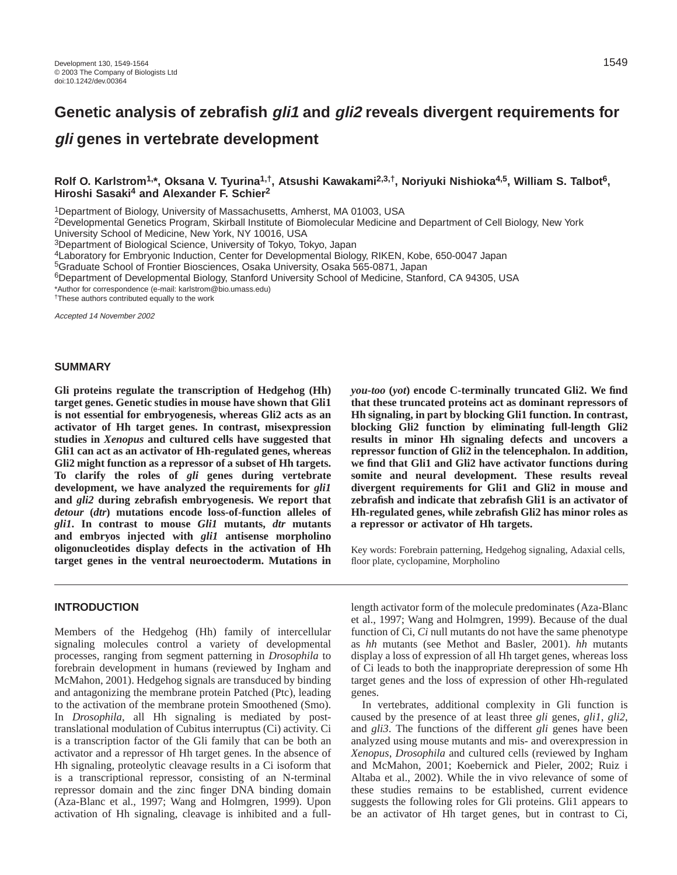# **Genetic analysis of zebrafish gli1 and gli2 reveals divergent requirements for**

# **gli genes in vertebrate development**

# **Rolf O. Karlstrom1,\*, Oksana V. Tyurina1,†, Atsushi Kawakami2,3,†, Noriyuki Nishioka4,5, William S. Talbot6, Hiroshi Sasaki4 and Alexander F. Schier2**

1Department of Biology, University of Massachusetts, Amherst, MA 01003, USA

2Developmental Genetics Program, Skirball Institute of Biomolecular Medicine and Department of Cell Biology, New York University School of Medicine, New York, NY 10016, USA

3Department of Biological Science, University of Tokyo, Tokyo, Japan

4Laboratory for Embryonic Induction, Center for Developmental Biology, RIKEN, Kobe, 650-0047 Japan

5Graduate School of Frontier Biosciences, Osaka University, Osaka 565-0871, Japan

6Department of Developmental Biology, Stanford University School of Medicine, Stanford, CA 94305, USA

\*Author for correspondence (e-mail: karlstrom@bio.umass.edu)

†These authors contributed equally to the work

Accepted 14 November 2002

# **SUMMARY**

**Gli proteins regulate the transcription of Hedgehog (Hh) target genes. Genetic studies in mouse have shown that Gli1 is not essential for embryogenesis, whereas Gli2 acts as an activator of Hh target genes. In contrast, misexpression studies in** *Xenopus* **and cultured cells have suggested that Gli1 can act as an activator of Hh-regulated genes, whereas Gli2 might function as a repressor of a subset of Hh targets. To clarify the roles of** *gli* **genes during vertebrate development, we have analyzed the requirements for** *gli1* **and** *gli2* **during zebrafish embryogenesis. We report that** *detour* **(***dtr***) mutations encode loss-of-function alleles of** *gli1***. In contrast to mouse** *Gli1* **mutants,** *dtr* **mutants and embryos injected with** *gli1* **antisense morpholino oligonucleotides display defects in the activation of Hh target genes in the ventral neuroectoderm. Mutations in**

# **INTRODUCTION**

Members of the Hedgehog (Hh) family of intercellular signaling molecules control a variety of developmental processes, ranging from segment patterning in *Drosophila* to forebrain development in humans (reviewed by Ingham and McMahon, 2001). Hedgehog signals are transduced by binding and antagonizing the membrane protein Patched (Ptc), leading to the activation of the membrane protein Smoothened (Smo). In *Drosophila*, all Hh signaling is mediated by posttranslational modulation of Cubitus interruptus (Ci) activity. Ci is a transcription factor of the Gli family that can be both an activator and a repressor of Hh target genes. In the absence of Hh signaling, proteolytic cleavage results in a Ci isoform that is a transcriptional repressor, consisting of an N-terminal repressor domain and the zinc finger DNA binding domain (Aza-Blanc et al., 1997; Wang and Holmgren, 1999). Upon activation of Hh signaling, cleavage is inhibited and a full*you-too* **(***yot***) encode C-terminally truncated Gli2. We find that these truncated proteins act as dominant repressors of Hh signaling, in part by blocking Gli1 function. In contrast, blocking Gli2 function by eliminating full-length Gli2 results in minor Hh signaling defects and uncovers a repressor function of Gli2 in the telencephalon. In addition, we find that Gli1 and Gli2 have activator functions during somite and neural development. These results reveal divergent requirements for Gli1 and Gli2 in mouse and zebrafish and indicate that zebrafish Gli1 is an activator of Hh-regulated genes, while zebrafish Gli2 has minor roles as a repressor or activator of Hh targets.**

Key words: Forebrain patterning, Hedgehog signaling, Adaxial cells, floor plate, cyclopamine, Morpholino

length activator form of the molecule predominates (Aza-Blanc et al., 1997; Wang and Holmgren, 1999). Because of the dual function of Ci, *Ci* null mutants do not have the same phenotype as *hh* mutants (see Methot and Basler, 2001). *hh* mutants display a loss of expression of all Hh target genes, whereas loss of Ci leads to both the inappropriate derepression of some Hh target genes and the loss of expression of other Hh-regulated genes.

In vertebrates, additional complexity in Gli function is caused by the presence of at least three *gli* genes, *gli1*, *gli2*, and *gli3*. The functions of the different *gli* genes have been analyzed using mouse mutants and mis- and overexpression in *Xenopus*, *Drosophila* and cultured cells (reviewed by Ingham and McMahon, 2001; Koebernick and Pieler, 2002; Ruiz i Altaba et al., 2002). While the in vivo relevance of some of these studies remains to be established, current evidence suggests the following roles for Gli proteins. Gli1 appears to be an activator of Hh target genes, but in contrast to Ci,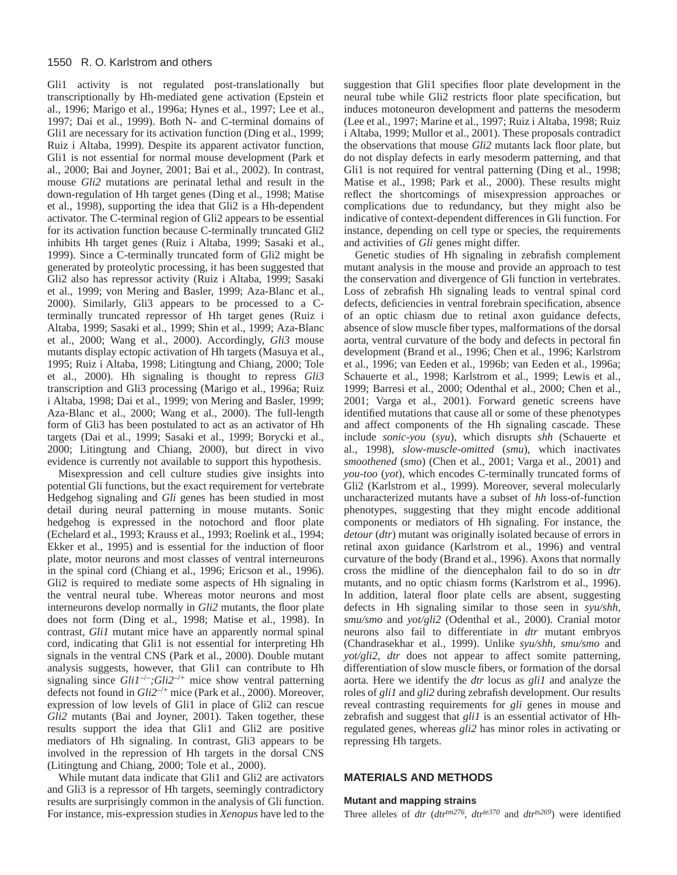Gli1 activity is not regulated post-translationally but transcriptionally by Hh-mediated gene activation (Epstein et al., 1996; Marigo et al., 1996a; Hynes et al., 1997; Lee et al., 1997; Dai et al., 1999). Both N- and C-terminal domains of Gli1 are necessary for its activation function (Ding et al., 1999; Ruiz i Altaba, 1999). Despite its apparent activator function, Gli1 is not essential for normal mouse development (Park et al., 2000; Bai and Joyner, 2001; Bai et al., 2002). In contrast, mouse *Gli2* mutations are perinatal lethal and result in the down-regulation of Hh target genes (Ding et al., 1998; Matise et al., 1998), supporting the idea that Gli2 is a Hh-dependent activator. The C-terminal region of Gli2 appears to be essential for its activation function because C-terminally truncated Gli2 inhibits Hh target genes (Ruiz i Altaba, 1999; Sasaki et al., 1999). Since a C-terminally truncated form of Gli2 might be generated by proteolytic processing, it has been suggested that Gli2 also has repressor activity (Ruiz i Altaba, 1999; Sasaki et al., 1999; von Mering and Basler, 1999; Aza-Blanc et al., 2000). Similarly, Gli3 appears to be processed to a Cterminally truncated repressor of Hh target genes (Ruiz i Altaba, 1999; Sasaki et al., 1999; Shin et al., 1999; Aza-Blanc et al., 2000; Wang et al., 2000). Accordingly, *Gli3* mouse mutants display ectopic activation of Hh targets (Masuya et al., 1995; Ruiz i Altaba, 1998; Litingtung and Chiang, 2000; Tole et al., 2000). Hh signaling is thought to repress *Gli3* transcription and Gli3 processing (Marigo et al., 1996a; Ruiz i Altaba, 1998; Dai et al., 1999; von Mering and Basler, 1999; Aza-Blanc et al., 2000; Wang et al., 2000). The full-length form of Gli3 has been postulated to act as an activator of Hh targets (Dai et al., 1999; Sasaki et al., 1999; Borycki et al., 2000; Litingtung and Chiang, 2000), but direct in vivo evidence is currently not available to support this hypothesis.

Misexpression and cell culture studies give insights into potential Gli functions, but the exact requirement for vertebrate Hedgehog signaling and *Gli* genes has been studied in most detail during neural patterning in mouse mutants. Sonic hedgehog is expressed in the notochord and floor plate (Echelard et al., 1993; Krauss et al., 1993; Roelink et al., 1994; Ekker et al., 1995) and is essential for the induction of floor plate, motor neurons and most classes of ventral interneurons in the spinal cord (Chiang et al., 1996; Ericson et al., 1996). Gli2 is required to mediate some aspects of Hh signaling in the ventral neural tube. Whereas motor neurons and most interneurons develop normally in *Gli2* mutants, the floor plate does not form (Ding et al., 1998; Matise et al., 1998). In contrast, *Gli1* mutant mice have an apparently normal spinal cord, indicating that Gli1 is not essential for interpreting Hh signals in the ventral CNS (Park et al., 2000). Double mutant analysis suggests, however, that Gli1 can contribute to Hh signaling since *Gli1<sup>-/-</sup>*;*Gli2<sup>-/+</sup>* mice show ventral patterning defects not found in *Gli2*–/+ mice (Park et al., 2000). Moreover, expression of low levels of Gli1 in place of Gli2 can rescue *Gli2* mutants (Bai and Joyner, 2001). Taken together, these results support the idea that Gli1 and Gli2 are positive mediators of Hh signaling. In contrast, Gli3 appears to be involved in the repression of Hh targets in the dorsal CNS (Litingtung and Chiang, 2000; Tole et al., 2000).

While mutant data indicate that Gli1 and Gli2 are activators and Gli3 is a repressor of Hh targets, seemingly contradictory results are surprisingly common in the analysis of Gli function. For instance, mis-expression studies in *Xenopus* have led to the

suggestion that Gli1 specifies floor plate development in the neural tube while Gli2 restricts floor plate specification, but induces motoneuron development and patterns the mesoderm (Lee et al., 1997; Marine et al., 1997; Ruiz i Altaba, 1998; Ruiz i Altaba, 1999; Mullor et al., 2001). These proposals contradict the observations that mouse *Gli2* mutants lack floor plate, but do not display defects in early mesoderm patterning, and that Gli1 is not required for ventral patterning (Ding et al., 1998; Matise et al., 1998; Park et al., 2000). These results might reflect the shortcomings of misexpression approaches or complications due to redundancy, but they might also be indicative of context-dependent differences in Gli function. For instance, depending on cell type or species, the requirements and activities of *Gli* genes might differ.

Genetic studies of Hh signaling in zebrafish complement mutant analysis in the mouse and provide an approach to test the conservation and divergence of Gli function in vertebrates. Loss of zebrafish Hh signaling leads to ventral spinal cord defects, deficiencies in ventral forebrain specification, absence of an optic chiasm due to retinal axon guidance defects, absence of slow muscle fiber types, malformations of the dorsal aorta, ventral curvature of the body and defects in pectoral fin development (Brand et al., 1996; Chen et al., 1996; Karlstrom et al., 1996; van Eeden et al., 1996b; van Eeden et al., 1996a; Schauerte et al., 1998; Karlstrom et al., 1999; Lewis et al., 1999; Barresi et al., 2000; Odenthal et al., 2000; Chen et al., 2001; Varga et al., 2001). Forward genetic screens have identified mutations that cause all or some of these phenotypes and affect components of the Hh signaling cascade. These include *sonic-you* (*syu*), which disrupts *shh* (Schauerte et al., 1998), *slow-muscle-omitted* (*smu*), which inactivates *smoothened* (*smo*) (Chen et al., 2001; Varga et al., 2001) and *you-too* (*yot*), which encodes C-terminally truncated forms of Gli2 (Karlstrom et al., 1999). Moreover, several molecularly uncharacterized mutants have a subset of *hh* loss-of-function phenotypes, suggesting that they might encode additional components or mediators of Hh signaling. For instance, the *detour* (*dtr*) mutant was originally isolated because of errors in retinal axon guidance (Karlstrom et al., 1996) and ventral curvature of the body (Brand et al., 1996). Axons that normally cross the midline of the diencephalon fail to do so in *dtr* mutants, and no optic chiasm forms (Karlstrom et al., 1996). In addition, lateral floor plate cells are absent, suggesting defects in Hh signaling similar to those seen in *syu/shh, smu/smo* and *yot/gli2* (Odenthal et al., 2000). Cranial motor neurons also fail to differentiate in *dtr* mutant embryos (Chandrasekhar et al., 1999). Unlike *syu/shh, smu/smo* and *yot/gli2*, *dtr* does not appear to affect somite patterning, differentiation of slow muscle fibers, or formation of the dorsal aorta. Here we identify the *dtr* locus as *gli1* and analyze the roles of *gli1* and *gli2* during zebrafish development. Our results reveal contrasting requirements for *gli* genes in mouse and zebrafish and suggest that *gli1* is an essential activator of Hhregulated genes, whereas *gli2* has minor roles in activating or repressing Hh targets.

# **MATERIALS AND METHODS**

## **Mutant and mapping strains**

Three alleles of  $dr = (dtr^{tm276}, dr^{te370})$  and  $dtr^{ts269}$  were identified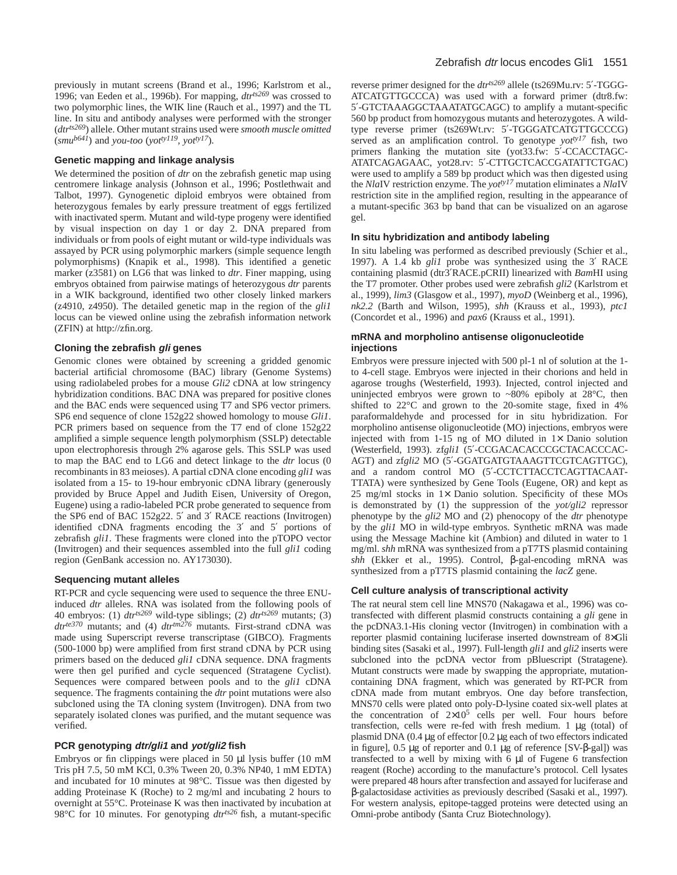previously in mutant screens (Brand et al., 1996; Karlstrom et al., 1996; van Eeden et al., 1996b). For mapping, *dtrts269* was crossed to two polymorphic lines, the WIK line (Rauch et al., 1997) and the TL line. In situ and antibody analyses were performed with the stronger (*dtrts269*) allele. Other mutant strains used were *smooth muscle omitted*  $(smu^{b641})$  and *you-too* (*yot*<sup>ty119</sup>, *yot*<sup>ty17</sup>).

#### **Genetic mapping and linkage analysis**

We determined the position of *dtr* on the zebrafish genetic map using centromere linkage analysis (Johnson et al., 1996; Postlethwait and Talbot, 1997). Gynogenetic diploid embryos were obtained from heterozygous females by early pressure treatment of eggs fertilized with inactivated sperm*.* Mutant and wild-type progeny were identified by visual inspection on day 1 or day 2. DNA prepared from individuals or from pools of eight mutant or wild-type individuals was assayed by PCR using polymorphic markers (simple sequence length polymorphisms) (Knapik et al., 1998). This identified a genetic marker (z3581) on LG6 that was linked to *dtr*. Finer mapping, using embryos obtained from pairwise matings of heterozygous *dtr* parents in a WIK background, identified two other closely linked markers (z4910, z4950). The detailed genetic map in the region of the *gli1* locus can be viewed online using the zebrafish information network (ZFIN) at http://zfin.org.

#### **Cloning the zebrafish gli genes**

Genomic clones were obtained by screening a gridded genomic bacterial artificial chromosome (BAC) library (Genome Systems) using radiolabeled probes for a mouse *Gli2* cDNA at low stringency hybridization conditions. BAC DNA was prepared for positive clones and the BAC ends were sequenced using T7 and SP6 vector primers*.* SP6 end sequence of clone 152g22 showed homology to mouse *Gli1*. PCR primers based on sequence from the T7 end of clone 152g22 amplified a simple sequence length polymorphism (SSLP) detectable upon electrophoresis through 2% agarose gels. This SSLP was used to map the BAC end to LG6 and detect linkage to the *dtr* locus (0 recombinants in 83 meioses). A partial cDNA clone encoding *gli1* was isolated from a 15- to 19-hour embryonic cDNA library (generously provided by Bruce Appel and Judith Eisen, University of Oregon, Eugene) using a radio-labeled PCR probe generated to sequence from the SP6 end of BAC 152g22. 5′ and 3′ RACE reactions (Invitrogen) identified cDNA fragments encoding the 3′ and 5′ portions of zebrafish *gli1*. These fragments were cloned into the pTOPO vector (Invitrogen) and their sequences assembled into the full *gli1* coding region (GenBank accession no. AY173030).

### **Sequencing mutant alleles**

RT-PCR and cycle sequencing were used to sequence the three ENUinduced *dtr* alleles. RNA was isolated from the following pools of 40 embryos: (1) *dtrts269* wild-type siblings; (2) *dtrts269* mutants; (3) *dtrte370* mutants; and (4) *dtrtm276* mutants*.* First-strand cDNA was made using Superscript reverse transcriptase (GIBCO)*.* Fragments (500-1000 bp) were amplified from first strand cDNA by PCR using primers based on the deduced *gli1* cDNA sequence. DNA fragments were then gel purified and cycle sequenced (Stratagene Cyclist). Sequences were compared between pools and to the *gli1* cDNA sequence. The fragments containing the *dtr* point mutations were also subcloned using the TA cloning system (Invitrogen). DNA from two separately isolated clones was purified, and the mutant sequence was verified.

### **PCR genotyping dtr/gli1 and yot/gli2 fish**

Embryos or fin clippings were placed in 50 µl lysis buffer (10 mM Tris pH 7.5, 50 mM KCl, 0.3% Tween 20, 0.3% NP40, 1 mM EDTA) and incubated for 10 minutes at 98°C. Tissue was then digested by adding Proteinase K (Roche) to 2 mg/ml and incubating 2 hours to overnight at 55°C. Proteinase K was then inactivated by incubation at 98°C for 10 minutes. For genotyping  $dtr^{ts26}$  fish, a mutant-specific

reverse primer designed for the *dtrts269* allele (ts269Mu.rv: 5′-TGGG-ATCATGTTGCCCA) was used with a forward primer (dtr8.fw: 5′-GTCTAAAGGCTAAATATGCAGC) to amplify a mutant-specific 560 bp product from homozygous mutants and heterozygotes. A wildtype reverse primer (ts269Wt.rv: 5′-TGGGATCATGTTGCCCG) served as an amplification control. To genotype *yotty17* fish, two primers flanking the mutation site (yot33.fw: 5'-CCACCTAGC-ATATCAGAGAAC, yot28.rv: 5′-CTTGCTCACCGATATTCTGAC) were used to amplify a 589 bp product which was then digested using the *Nla*IV restriction enzyme. The *yotty17* mutation eliminates a *Nla*IV restriction site in the amplified region, resulting in the appearance of a mutant-specific 363 bp band that can be visualized on an agarose gel.

#### **In situ hybridization and antibody labeling**

In situ labeling was performed as described previously (Schier et al., 1997). A 1.4 kb *gli1* probe was synthesized using the 3′ RACE containing plasmid (dtr3′RACE.pCRII) linearized with *Bam*HI using the T7 promoter. Other probes used were zebrafish *gli2* (Karlstrom et al., 1999), *lim3* (Glasgow et al., 1997), *myoD* (Weinberg et al., 1996), *nk2.2* (Barth and Wilson, 1995), *shh* (Krauss et al., 1993), *ptc1* (Concordet et al., 1996) and *pax6* (Krauss et al., 1991).

### **mRNA and morpholino antisense oligonucleotide injections**

Embryos were pressure injected with 500 pl-1 nl of solution at the 1 to 4-cell stage. Embryos were injected in their chorions and held in agarose troughs (Westerfield, 1993). Injected, control injected and uninjected embryos were grown to  $\sim 80\%$  epiboly at  $28^{\circ}$ C, then shifted to 22°C and grown to the 20-somite stage, fixed in 4% paraformaldehyde and processed for in situ hybridization. For morpholino antisense oligonucleotide (MO) injections, embryos were injected with from 1-15 ng of MO diluted in  $1\times$  Danio solution (Westerfield, 1993). zf*gli1* (5′-CCGACACACCCGCTACACCCAC-AGT) and zf*gli2* MO (5′-GGATGATGTAAAGTTCGTCAGTTGC), and a random control MO (5′-CCTCTTACCTCAGTTACAAT-TTATA) were synthesized by Gene Tools (Eugene, OR) and kept as 25 mg/ml stocks in  $1 \times$  Danio solution. Specificity of these MOs is demonstrated by (1) the suppression of the *yot/gli2* repressor phenotype by the *gli2* MO and (2) phenocopy of the *dtr* phenotype by the *gli1* MO in wild-type embryos. Synthetic mRNA was made using the Message Machine kit (Ambion) and diluted in water to 1 mg/ml. *shh* mRNA was synthesized from a pT7TS plasmid containing *shh* (Ekker et al., 1995). Control, β-gal-encoding mRNA was synthesized from a pT7TS plasmid containing the *lacZ* gene.

### **Cell culture analysis of transcriptional activity**

The rat neural stem cell line MNS70 (Nakagawa et al., 1996) was cotransfected with different plasmid constructs containing a *gli* gene in the pcDNA3.1-His cloning vector (Invitrogen) in combination with a reporter plasmid containing luciferase inserted downstream of 8×Gli binding sites (Sasaki et al., 1997). Full-length *gli1* and *gli2* inserts were subcloned into the pcDNA vector from pBluescript (Stratagene). Mutant constructs were made by swapping the appropriate, mutationcontaining DNA fragment, which was generated by RT-PCR from cDNA made from mutant embryos. One day before transfection, MNS70 cells were plated onto poly-D-lysine coated six-well plates at the concentration of  $2\times10^5$  cells per well. Four hours before transfection, cells were re-fed with fresh medium. 1 µg (total) of plasmid DNA (0.4 µg of effector [0.2 µg each of two effectors indicated in figure],  $0.5 \mu$ g of reporter and  $0.1 \mu$ g of reference [SV-β-gal]) was transfected to a well by mixing with 6 µl of Fugene 6 transfection reagent (Roche) according to the manufacture's protocol. Cell lysates were prepared 48 hours after transfection and assayed for luciferase and β-galactosidase activities as previously described (Sasaki et al., 1997). For western analysis, epitope-tagged proteins were detected using an Omni-probe antibody (Santa Cruz Biotechnology).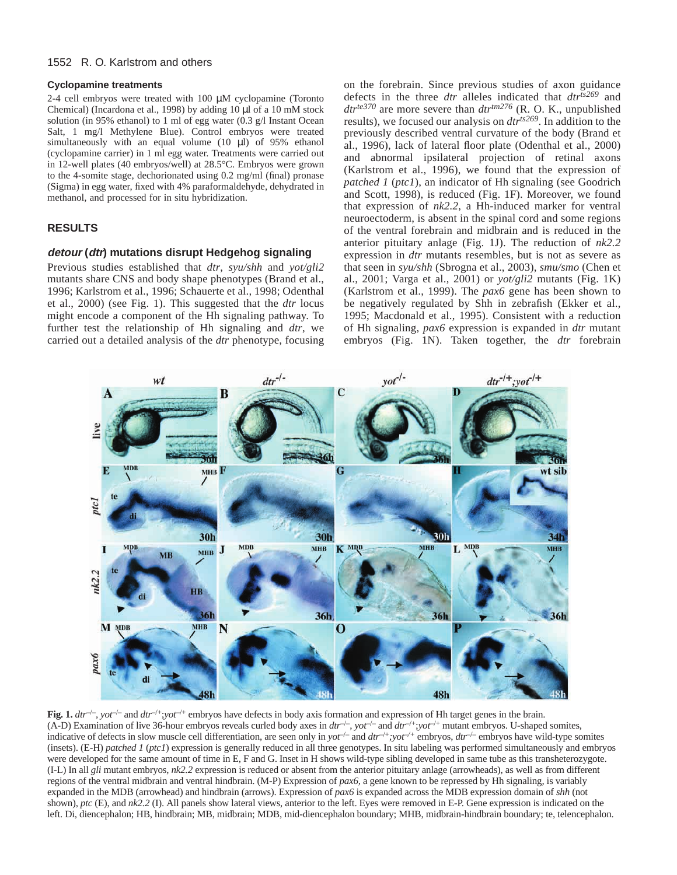#### **Cyclopamine treatments**

2-4 cell embryos were treated with 100 µM cyclopamine (Toronto Chemical) (Incardona et al., 1998) by adding 10 µl of a 10 mM stock solution (in 95% ethanol) to 1 ml of egg water (0.3 g/l Instant Ocean Salt, 1 mg/l Methylene Blue). Control embryos were treated simultaneously with an equal volume (10 µl) of 95% ethanol (cyclopamine carrier) in 1 ml egg water. Treatments were carried out in 12-well plates (40 embryos/well) at 28.5°C. Embryos were grown to the 4-somite stage, dechorionated using 0.2 mg/ml (final) pronase (Sigma) in egg water, fixed with 4% paraformaldehyde, dehydrated in methanol, and processed for in situ hybridization.

# **RESULTS**

# **detour (dtr) mutations disrupt Hedgehog signaling**

Previous studies established that *dtr*, *syu/shh* and *yot/gli2* mutants share CNS and body shape phenotypes (Brand et al., 1996; Karlstrom et al., 1996; Schauerte et al., 1998; Odenthal et al., 2000) (see Fig. 1). This suggested that the *dtr* locus might encode a component of the Hh signaling pathway. To further test the relationship of Hh signaling and *dtr*, we carried out a detailed analysis of the *dtr* phenotype, focusing

on the forebrain. Since previous studies of axon guidance defects in the three *dtr* alleles indicated that *dtrts269* and *dtrte370* are more severe than *dtrtm276* (R. O. K., unpublished results), we focused our analysis on *dtrts269*. In addition to the previously described ventral curvature of the body (Brand et al., 1996), lack of lateral floor plate (Odenthal et al., 2000) and abnormal ipsilateral projection of retinal axons (Karlstrom et al., 1996), we found that the expression of *patched 1* (*ptc1*), an indicator of Hh signaling (see Goodrich and Scott, 1998), is reduced (Fig. 1F). Moreover, we found that expression of *nk2.2*, a Hh-induced marker for ventral neuroectoderm, is absent in the spinal cord and some regions of the ventral forebrain and midbrain and is reduced in the anterior pituitary anlage (Fig. 1J). The reduction of *nk2.2* expression in *dtr* mutants resembles, but is not as severe as that seen in *syu/shh* (Sbrogna et al., 2003), *smu/smo* (Chen et al., 2001; Varga et al., 2001) or *yot/gli2* mutants (Fig. 1K) (Karlstrom et al., 1999). The *pax6* gene has been shown to be negatively regulated by Shh in zebrafish (Ekker et al., 1995; Macdonald et al., 1995). Consistent with a reduction of Hh signaling, *pax6* expression is expanded in *dtr* mutant embryos (Fig. 1N). Taken together, the *dtr* forebrain



**Fig. 1.**  $dr^{-/-}$ ,  $vot^{-/-}$  and  $dr^{-/+}$ ; $vot^{-/+}$  embryos have defects in body axis formation and expression of Hh target genes in the brain. (A-D) Examination of live 36-hour embryos reveals curled body axes in  $dr^{-/-}$ ,  $yot^{-/-}$  and  $dr^{-/+}$ ;  $yot^{-/+}$  mutant embryos. U-shaped somites, indicative of defects in slow muscle cell differentiation, are seen only in  $yot^{-/-}$  and  $dr^{-/+}$ ;  $yot^{-/+}$  embryos,  $dr^{-/-}$  embryos have wild-type somites (insets). (E-H) *patched 1* (*ptc1*) expression is generally reduced in all three genotypes. In situ labeling was performed simultaneously and embryos were developed for the same amount of time in E, F and G. Inset in H shows wild-type sibling developed in same tube as this transheterozygote. (I-L) In all *gli* mutant embryos, *nk2.2* expression is reduced or absent from the anterior pituitary anlage (arrowheads), as well as from different regions of the ventral midbrain and ventral hindbrain. (M-P) Expression of *pax6,* a gene known to be repressed by Hh signaling*,* is variably expanded in the MDB (arrowhead) and hindbrain (arrows). Expression of *pax6* is expanded across the MDB expression domain of *shh* (not shown), *ptc* (E), and *nk2.2* (I). All panels show lateral views, anterior to the left. Eyes were removed in E-P. Gene expression is indicated on the left. Di, diencephalon; HB, hindbrain; MB, midbrain; MDB, mid-diencephalon boundary; MHB, midbrain-hindbrain boundary; te, telencephalon.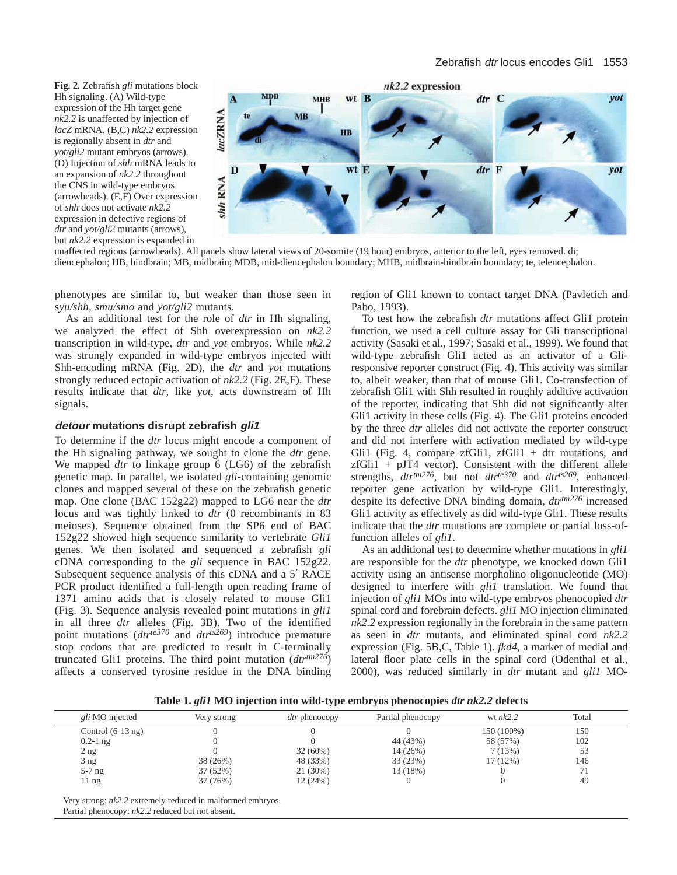**Fig. 2***.* Zebrafish *gli* mutations block Hh signaling. (A) Wild-type expression of the Hh target gene *nk2.2* is unaffected by injection of *lacZ* mRNA. (B,C) *nk2.2* expression is regionally absent in *dtr* and *yot/gli2* mutant embryos (arrows). (D) Injection of *shh* mRNA leads to an expansion of *nk2.2* throughout the CNS in wild-type embryos (arrowheads). (E,F) Over expression of *shh* does not activate *nk2.2* expression in defective regions of *dtr* and *yot/gli2* mutants (arrows), but *nk2.2* expression is expanded in



unaffected regions (arrowheads). All panels show lateral views of 20-somite (19 hour) embryos, anterior to the left, eyes removed. di; diencephalon; HB, hindbrain; MB, midbrain; MDB, mid-diencephalon boundary; MHB, midbrain-hindbrain boundary; te, telencephalon.

phenotypes are similar to, but weaker than those seen in s*yu/shh, smu/smo* and *yot/gli2* mutants.

As an additional test for the role of *dtr* in Hh signaling, we analyzed the effect of Shh overexpression on *nk2.2* transcription in wild-type, *dtr* and *yot* embryos. While *nk2.2* was strongly expanded in wild-type embryos injected with Shh-encoding mRNA (Fig. 2D), the *dtr* and *yot* mutations strongly reduced ectopic activation of *nk2.2* (Fig. 2E,F). These results indicate that *dtr*, like *yot*, acts downstream of Hh signals.

# **detour mutations disrupt zebrafish gli1**

To determine if the *dtr* locus might encode a component of the Hh signaling pathway, we sought to clone the *dtr* gene. We mapped *dtr* to linkage group 6 (LG6) of the zebrafish genetic map. In parallel, we isolated *gli*-containing genomic clones and mapped several of these on the zebrafish genetic map. One clone (BAC 152g22) mapped to LG6 near the *dtr* locus and was tightly linked to *dtr* (0 recombinants in 83 meioses). Sequence obtained from the SP6 end of BAC 152g22 showed high sequence similarity to vertebrate *Gli1* genes. We then isolated and sequenced a zebrafish *gli* cDNA corresponding to the *gli* sequence in BAC 152g22. Subsequent sequence analysis of this cDNA and a 5′ RACE PCR product identified a full-length open reading frame of 1371 amino acids that is closely related to mouse Gli1 (Fig. 3). Sequence analysis revealed point mutations in *gli1* in all three *dtr* alleles (Fig. 3B). Two of the identified point mutations (*dtrte370* and *dtrts269*) introduce premature stop codons that are predicted to result in C-terminally truncated Gli1 proteins. The third point mutation (*dtrtm276*) affects a conserved tyrosine residue in the DNA binding

region of Gli1 known to contact target DNA (Pavletich and Pabo, 1993).

To test how the zebrafish *dtr* mutations affect Gli1 protein function, we used a cell culture assay for Gli transcriptional activity (Sasaki et al., 1997; Sasaki et al., 1999). We found that wild-type zebrafish Gli1 acted as an activator of a Gliresponsive reporter construct (Fig. 4). This activity was similar to, albeit weaker, than that of mouse Gli1. Co-transfection of zebrafish Gli1 with Shh resulted in roughly additive activation of the reporter, indicating that Shh did not significantly alter Gli1 activity in these cells (Fig. 4). The Gli1 proteins encoded by the three *dtr* alleles did not activate the reporter construct and did not interfere with activation mediated by wild-type Gli1 (Fig. 4, compare zfGli1, zfGli1 + dtr mutations, and zfGli1 + pJT4 vector). Consistent with the different allele strengths,  $dtr^{tm276}$ , but not  $dtr^{te370}$  and  $dtr^{ts269}$ , enhanced reporter gene activation by wild-type Gli1. Interestingly, despite its defective DNA binding domain, *dtrtm276* increased Gli1 activity as effectively as did wild-type Gli1. These results indicate that the *dtr* mutations are complete or partial loss-offunction alleles of *gli1*.

As an additional test to determine whether mutations in *gli1* are responsible for the *dtr* phenotype, we knocked down Gli1 activity using an antisense morpholino oligonucleotide (MO) designed to interfere with *gli1* translation. We found that injection of *gli1* MOs into wild-type embryos phenocopied *dtr* spinal cord and forebrain defects. *gli1* MO injection eliminated *nk2.2* expression regionally in the forebrain in the same pattern as seen in *dtr* mutants, and eliminated spinal cord *nk2.2* expression (Fig. 5B,C, Table 1). *fkd4*, a marker of medial and lateral floor plate cells in the spinal cord (Odenthal et al., 2000), was reduced similarly in *dtr* mutant and *gli1* MO-

**Table 1.** *gli1* **MO injection into wild-type embryos phenocopies** *dtr nk2.2* **defects**

| gli MO injected     | Very strong | <i>dtr</i> phenocopy | Partial phenocopy | wt $nk2.2$ | Total |  |
|---------------------|-------------|----------------------|-------------------|------------|-------|--|
| Control $(6-13$ ng) |             |                      |                   | 150 (100%) | 150   |  |
| $0.2 - 1$ ng        |             |                      | 44 (43%)          | 58 (57%)   | 102   |  |
| $2$ ng              |             | $32(60\%)$           | $14(26\%)$        | 7(13%)     | 53    |  |
| 3 <sub>ng</sub>     | 38 (26%)    | 48 (33%)             | 33 (23%)          | 17 (12%)   | 146   |  |
| $5-7$ ng            | 37 (52%)    | 21 (30%)             | 13 (18%)          |            |       |  |
| $11$ ng             | 37 (76%)    | 12(24%)              |                   |            | 49    |  |
|                     |             |                      |                   |            |       |  |

Very strong: *nk2.2* extremely reduced in malformed embryos.

Partial phenocopy: *nk2.2* reduced but not absent.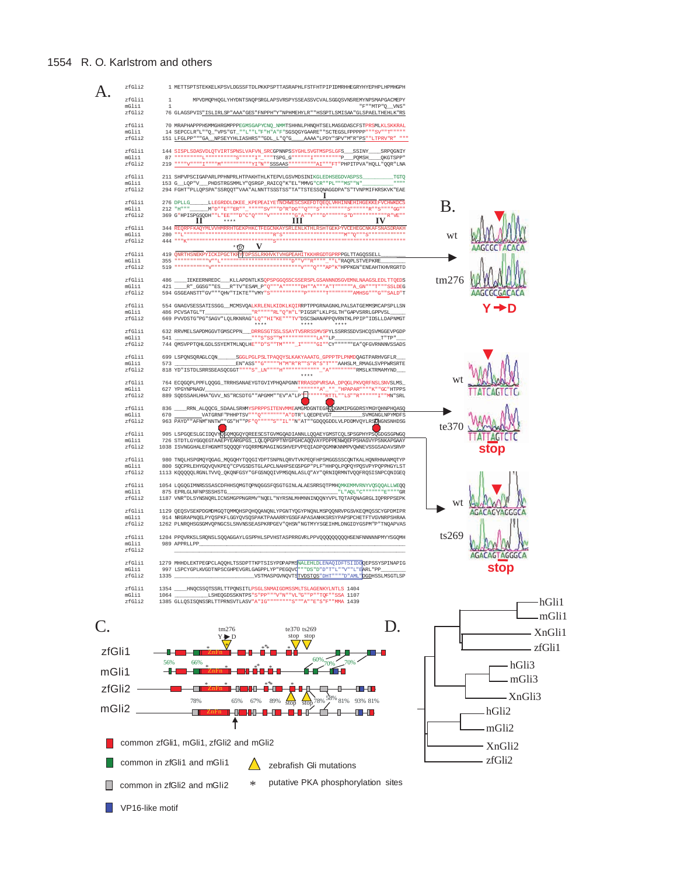

VP16-like motif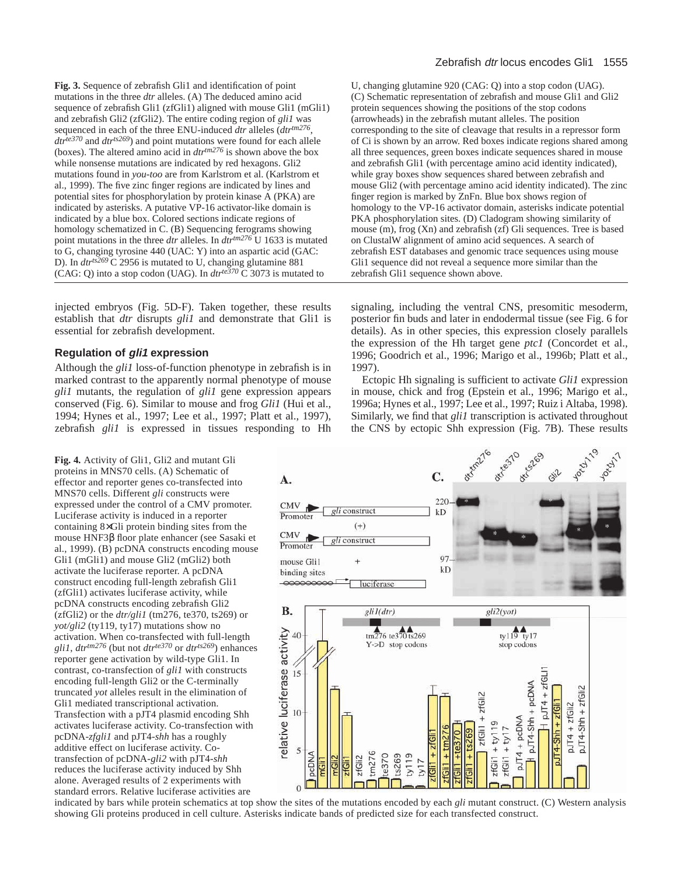**Fig. 3.** Sequence of zebrafish Gli1 and identification of point mutations in the three *dtr* alleles. (A) The deduced amino acid sequence of zebrafish Gli1 (zfGli1) aligned with mouse Gli1 (mGli1) and zebrafish Gli2 (zfGli2). The entire coding region of *gli1* was sequenced in each of the three ENU-induced *dtr* alleles (*dtrtm276*,  $dtr^{\frac{te370}{}}$  and  $dtr^{\frac{t5269}{}}$  and point mutations were found for each allele (boxes). The altered amino acid in *dtrtm276* is shown above the box while nonsense mutations are indicated by red hexagons. Gli2 mutations found in *you-too* are from Karlstrom et al. (Karlstrom et al., 1999). The five zinc finger regions are indicated by lines and potential sites for phosphorylation by protein kinase A (PKA) are indicated by asterisks. A putative VP-16 activator-like domain is indicated by a blue box. Colored sections indicate regions of homology schematized in C. (B) Sequencing ferograms showing point mutations in the three *dtr* alleles. In *dtrtm276* U 1633 is mutated to G, changing tyrosine 440 (UAC: Y) into an aspartic acid (GAC: D). In  $dtr^{t5269}$ C 2956 is mutated to U, changing glutamine 881 (CAG: Q) into a stop codon (UAG). In  $dtr^{te\bar{3}70}$  C 3073 is mutated to

injected embryos (Fig. 5D-F). Taken together, these results establish that *dtr* disrupts *gli1* and demonstrate that Gli1 is essential for zebrafish development.

# **Regulation of gli1 expression**

Although the *gli1* loss-of-function phenotype in zebrafish is in marked contrast to the apparently normal phenotype of mouse *gli1* mutants, the regulation of *gli1* gene expression appears conserved (Fig. 6). Similar to mouse and frog *Gli1* (Hui et al., 1994; Hynes et al., 1997; Lee et al., 1997; Platt et al., 1997), zebrafish *gli1* is expressed in tissues responding to Hh

**Fig. 4***.* Activity of Gli1, Gli2 and mutant Gli proteins in MNS70 cells. (A) Schematic of effector and reporter genes co-transfected into MNS70 cells. Different *gli* constructs were expressed under the control of a CMV promoter. Luciferase activity is induced in a reporter containing 8×Gli protein binding sites from the mouse HNF3β floor plate enhancer (see Sasaki et al., 1999). (B) pcDNA constructs encoding mouse Gli1 (mGli1) and mouse Gli2 (mGli2) both activate the luciferase reporter. A pcDNA construct encoding full-length zebrafish Gli1 (zfGli1) activates luciferase activity, while pcDNA constructs encoding zebrafish Gli2 (zfGli2) or the *dtr/gli1* (tm276, te370, ts269) or *yot/gli2* (ty119, ty17) mutations show no activation. When co-transfected with full-length *gli1*, *dtrtm276* (but not *dtrte370* or *dtrts269*) enhances reporter gene activation by wild-type Gli1. In contrast, co-transfection of *gli1* with constructs encoding full-length Gli2 or the C-terminally truncated *yot* alleles result in the elimination of Gli1 mediated transcriptional activation. Transfection with a pJT4 plasmid encoding Shh activates luciferase activity. Co-transfection with pcDNA-*zfgli1* and pJT4-*shh* has a roughly additive effect on luciferase activity. Cotransfection of pcDNA-*gli2* with pJT4-*shh* reduces the luciferase activity induced by Shh alone. Averaged results of 2 experiments with standard errors. Relative luciferase activities are

U, changing glutamine 920 (CAG: Q) into a stop codon (UAG). (C) Schematic representation of zebrafish and mouse Gli1 and Gli2 protein sequences showing the positions of the stop codons (arrowheads) in the zebrafish mutant alleles. The position corresponding to the site of cleavage that results in a repressor form of Ci is shown by an arrow. Red boxes indicate regions shared among all three sequences, green boxes indicate sequences shared in mouse and zebrafish Gli1 (with percentage amino acid identity indicated), while gray boxes show sequences shared between zebrafish and mouse Gli2 (with percentage amino acid identity indicated). The zinc finger region is marked by ZnFn. Blue box shows region of homology to the VP-16 activator domain, asterisks indicate potential PKA phosphorylation sites. (D) Cladogram showing similarity of mouse (m), frog (Xn) and zebrafish (zf) Gli sequences. Tree is based on ClustalW alignment of amino acid sequences. A search of zebrafish EST databases and genomic trace sequences using mouse Gli1 sequence did not reveal a sequence more similar than the zebrafish Gli1 sequence shown above.

signaling, including the ventral CNS, presomitic mesoderm, posterior fin buds and later in endodermal tissue (see Fig. 6 for details). As in other species, this expression closely parallels the expression of the Hh target gene *ptc1* (Concordet et al., 1996; Goodrich et al., 1996; Marigo et al., 1996b; Platt et al., 1997).

Ectopic Hh signaling is sufficient to activate *Gli1* expression in mouse, chick and frog (Epstein et al., 1996; Marigo et al., 1996a; Hynes et al., 1997; Lee et al., 1997; Ruiz i Altaba, 1998). Similarly, we find that *gli1* transcription is activated throughout the CNS by ectopic Shh expression (Fig. 7B). These results



indicated by bars while protein schematics at top show the sites of the mutations encoded by each *gli* mutant construct. (C) Western analysis showing Gli proteins produced in cell culture. Asterisks indicate bands of predicted size for each transfected construct.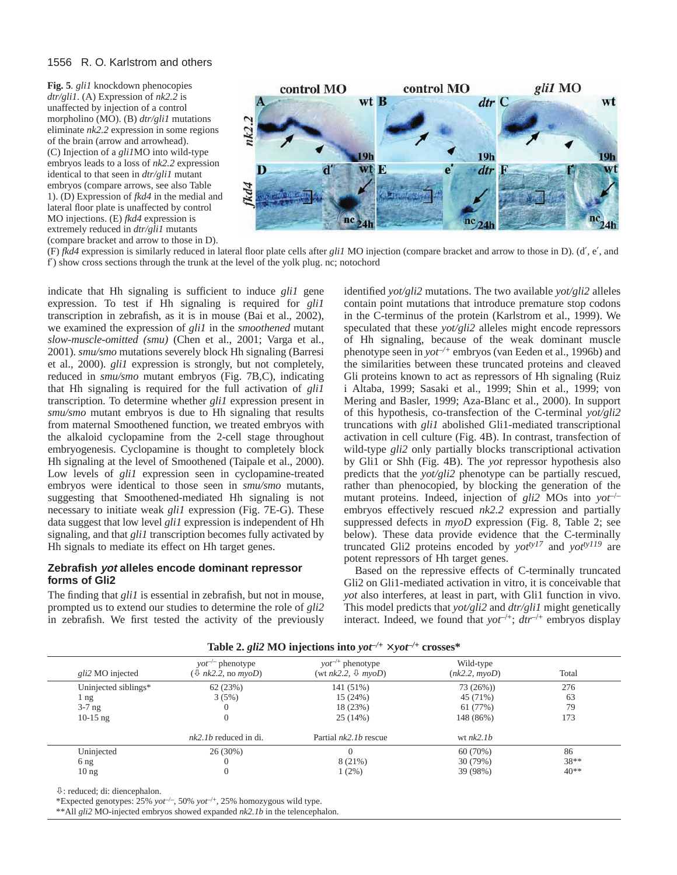**Fig. 5***. gli1* knockdown phenocopies *dtr/gli1*. (A) Expression of *nk2.2* is unaffected by injection of a control morpholino (MO). (B) *dtr/gli1* mutations eliminate *nk2.2* expression in some regions of the brain (arrow and arrowhead). (C) Injection of a *gli1*MO into wild-type embryos leads to a loss of *nk2.2* expression identical to that seen in *dtr/gli1* mutant embryos (compare arrows, see also Table 1). (D) Expression of *fkd4* in the medial and lateral floor plate is unaffected by control MO injections. (E) *fkd4* expression is extremely reduced in *dtr/gli1* mutants (compare bracket and arrow to those in D).



(F) *fkd4* expression is similarly reduced in lateral floor plate cells after *gli1* MO injection (compare bracket and arrow to those in D). (d′, e′, and f′) show cross sections through the trunk at the level of the yolk plug. nc; notochord

indicate that Hh signaling is sufficient to induce *gli1* gene expression. To test if Hh signaling is required for *gli1* transcription in zebrafish, as it is in mouse (Bai et al., 2002), we examined the expression of *gli1* in the *smoothened* mutant *slow-muscle-omitted (smu)* (Chen et al., 2001; Varga et al., 2001). *smu/smo* mutations severely block Hh signaling (Barresi et al., 2000). *gli1* expression is strongly, but not completely, reduced in *smu/smo* mutant embryos (Fig. 7B,C), indicating that Hh signaling is required for the full activation of *gli1* transcription. To determine whether *gli1* expression present in *smu/smo* mutant embryos is due to Hh signaling that results from maternal Smoothened function, we treated embryos with the alkaloid cyclopamine from the 2-cell stage throughout embryogenesis. Cyclopamine is thought to completely block Hh signaling at the level of Smoothened (Taipale et al., 2000). Low levels of *gli1* expression seen in cyclopamine-treated embryos were identical to those seen in *smu/smo* mutants, suggesting that Smoothened-mediated Hh signaling is not necessary to initiate weak *gli1* expression (Fig. 7E-G). These data suggest that low level *gli1* expression is independent of Hh signaling, and that *gli1* transcription becomes fully activated by Hh signals to mediate its effect on Hh target genes.

# **Zebrafish yot alleles encode dominant repressor forms of Gli2**

The finding that *gli1* is essential in zebrafish, but not in mouse, prompted us to extend our studies to determine the role of *gli2* in zebrafish. We first tested the activity of the previously

identified *yot/gli2* mutations. The two available *yot/gli2* alleles contain point mutations that introduce premature stop codons in the C-terminus of the protein (Karlstrom et al., 1999). We speculated that these *yot/gli2* alleles might encode repressors of Hh signaling, because of the weak dominant muscle phenotype seen in *yot–/+* embryos (van Eeden et al., 1996b) and the similarities between these truncated proteins and cleaved Gli proteins known to act as repressors of Hh signaling (Ruiz i Altaba, 1999; Sasaki et al., 1999; Shin et al., 1999; von Mering and Basler, 1999; Aza-Blanc et al., 2000). In support of this hypothesis, co-transfection of the C-terminal *yot/gli2* truncations with *gli1* abolished Gli1-mediated transcriptional activation in cell culture (Fig. 4B). In contrast, transfection of wild-type *gli2* only partially blocks transcriptional activation by Gli1 or Shh (Fig. 4B). The *yot* repressor hypothesis also predicts that the *yot/gli2* phenotype can be partially rescued, rather than phenocopied, by blocking the generation of the mutant proteins. Indeed, injection of *gli2* MOs into *yot*–/– embryos effectively rescued *nk2.2* expression and partially suppressed defects in *myoD* expression (Fig. 8, Table 2; see below). These data provide evidence that the C-terminally truncated Gli2 proteins encoded by *yotty17* and *yotty119* are potent repressors of Hh target genes.

Based on the repressive effects of C-terminally truncated Gli2 on Gli1-mediated activation in vitro, it is conceivable that *yot* also interferes, at least in part, with Gli1 function in vivo. This model predicts that *yot/gli2* and *dtr/gli1* might genetically interact. Indeed, we found that *yot*–/+; *dtr*–/+ embryos display

| gli2 MO injected     | $\gamma \circ t^{-1}$ phenotype<br>$(\mathcal{Q}$ nk2.2, no myoD) | $\gamma \circ t^{-/+}$ phenotype<br>(wt $nk2.2$ , $\oplus$ myoD) | Wild-type<br>(nk2.2, myoD) | Total  |
|----------------------|-------------------------------------------------------------------|------------------------------------------------------------------|----------------------------|--------|
| Uninjected siblings* | 62(23%)                                                           | 141 (51%)                                                        | 73(26%)                    | 276    |
| 1 ng                 | 3(5%)                                                             | 15(24%)                                                          | 45 (71%)                   | 63     |
| $3-7$ ng             |                                                                   | 18 (23%)                                                         | 61(77%)                    | 79     |
| $10-15$ ng           |                                                                   | 25 (14%)                                                         | 148 (86%)                  | 173    |
|                      | $nk2.1b$ reduced in di.                                           | Partial <i>nk2.1b</i> rescue                                     | wt $nk2.1b$                |        |
| Uninjected           | $26(30\%)$                                                        |                                                                  | 60(70%)                    | 86     |
| 6 ng                 |                                                                   | 8 (21%)                                                          | 30(79%)                    | 38**   |
| 10 <sub>ng</sub>     |                                                                   | $1(2\%)$                                                         | 39 (98%)                   | $40**$ |

**Table 2.** *gli2* **MO injections into**  $\gamma v t^{-/2} \times \gamma v t^{-/2}$  **crosses\*** 

Ú: reduced; di: diencephalon.

\*Expected genotypes: 25% *yot*–/–, 50% *yot*–/+, 25% homozygous wild type.

\*\*All *gli2* MO-injected embryos showed expanded *nk2.1b* in the telencephalon.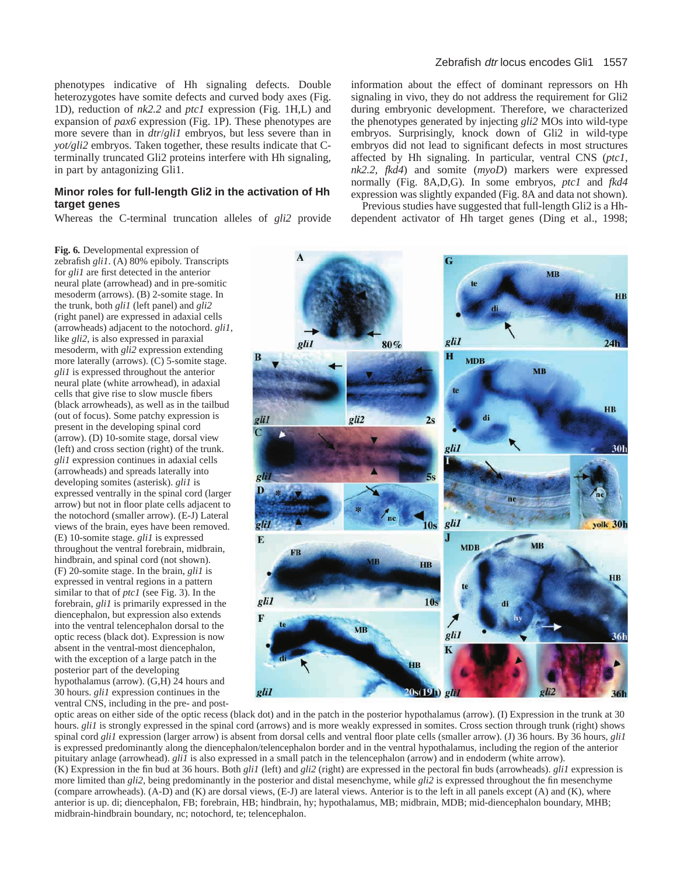phenotypes indicative of Hh signaling defects. Double heterozygotes have somite defects and curved body axes (Fig. 1D), reduction of *nk2.2* and *ptc1* expression (Fig. 1H,L) and expansion of *pax6* expression (Fig. 1P). These phenotypes are more severe than in *dtr*/*gli1* embryos, but less severe than in *yot/gli2* embryos. Taken together, these results indicate that Cterminally truncated Gli2 proteins interfere with Hh signaling, in part by antagonizing Gli1.

# **Minor roles for full-length Gli2 in the activation of Hh target genes**

Whereas the C-terminal truncation alleles of *gli2* provide

**Fig. 6***.* Developmental expression of zebrafish *gli1*. (A) 80% epiboly. Transcripts for *gli1* are first detected in the anterior neural plate (arrowhead) and in pre-somitic mesoderm (arrows). (B) 2-somite stage. In the trunk, both *gli1* (left panel) and *gli2* (right panel) are expressed in adaxial cells (arrowheads) adjacent to the notochord. *gli1*, like *gli2*, is also expressed in paraxial mesoderm, with *gli2* expression extending more laterally (arrows). (C) 5-somite stage. *gli1* is expressed throughout the anterior neural plate (white arrowhead), in adaxial cells that give rise to slow muscle fibers (black arrowheads), as well as in the tailbud (out of focus). Some patchy expression is gli1 present in the developing spinal cord (arrow). (D) 10-somite stage, dorsal view (left) and cross section (right) of the trunk. *gli1* expression continues in adaxial cells (arrowheads) and spreads laterally into developing somites (asterisk). *gli1* is expressed ventrally in the spinal cord (larger arrow) but not in floor plate cells adjacent to the notochord (smaller arrow). (E-J) Lateral views of the brain, eyes have been removed. (E) 10-somite stage. *gli1* is expressed E throughout the ventral forebrain, midbrain, hindbrain, and spinal cord (not shown). (F) 20-somite stage. In the brain, *gli1* is expressed in ventral regions in a pattern

similar to that of *ptc1* (see Fig. 3). In the forebrain, *gli1* is primarily expressed in the diencephalon, but expression also extends into the ventral telencephalon dorsal to the optic recess (black dot). Expression is now absent in the ventral-most diencephalon, with the exception of a large patch in the posterior part of the developing

hypothalamus (arrow). (G,H) 24 hours and 30 hours. *gli1* expression continues in the ventral CNS, including in the pre- and post-

Zebrafish dtr locus encodes Gli1 1557

information about the effect of dominant repressors on Hh signaling in vivo, they do not address the requirement for Gli2 during embryonic development. Therefore, we characterized the phenotypes generated by injecting *gli2* MOs into wild-type embryos. Surprisingly, knock down of Gli2 in wild-type embryos did not lead to significant defects in most structures affected by Hh signaling. In particular, ventral CNS (*ptc1, nk2.2, fkd4*) and somite (*myoD*) markers were expressed normally (Fig. 8A,D,G). In some embryos, *ptc1* and *fkd4* expression was slightly expanded (Fig. 8A and data not shown).

Previous studies have suggested that full-length Gli2 is a Hhdependent activator of Hh target genes (Ding et al., 1998;



optic areas on either side of the optic recess (black dot) and in the patch in the posterior hypothalamus (arrow). (I) Expression in the trunk at 30 hours. *gli1* is strongly expressed in the spinal cord (arrows) and is more weakly expressed in somites. Cross section through trunk (right) shows spinal cord *gli1* expression (larger arrow) is absent from dorsal cells and ventral floor plate cells (smaller arrow). (J) 36 hours. By 36 hours, *gli1* is expressed predominantly along the diencephalon/telencephalon border and in the ventral hypothalamus, including the region of the anterior pituitary anlage (arrowhead). *gli1* is also expressed in a small patch in the telencephalon (arrow) and in endoderm (white arrow). (K) Expression in the fin bud at 36 hours. Both *gli1* (left) and *gli2* (right) are expressed in the pectoral fin buds (arrowheads). *gli1* expression is more limited than *gli2*, being predominantly in the posterior and distal mesenchyme, while *gli2* is expressed throughout the fin mesenchyme (compare arrowheads). (A-D) and (K) are dorsal views, (E-J) are lateral views. Anterior is to the left in all panels except (A) and (K), where anterior is up. di; diencephalon, FB; forebrain, HB; hindbrain, hy; hypothalamus, MB; midbrain, MDB; mid-diencephalon boundary, MHB; midbrain-hindbrain boundary, nc; notochord, te; telencephalon.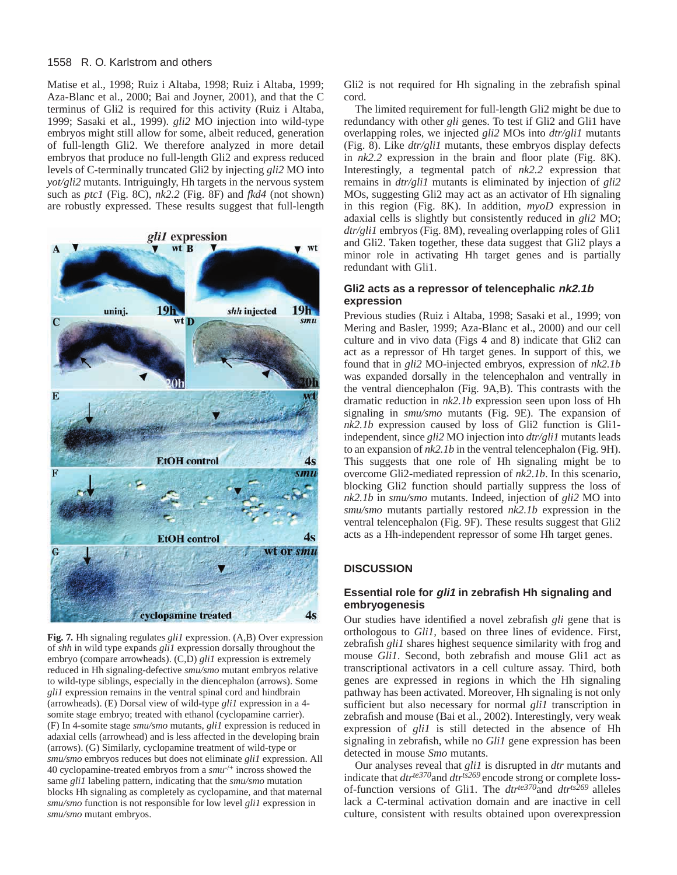Matise et al., 1998; Ruiz i Altaba, 1998; Ruiz i Altaba, 1999; Aza-Blanc et al., 2000; Bai and Joyner, 2001), and that the C terminus of Gli2 is required for this activity (Ruiz i Altaba, 1999; Sasaki et al., 1999). *gli2* MO injection into wild-type embryos might still allow for some, albeit reduced, generation of full-length Gli2. We therefore analyzed in more detail embryos that produce no full-length Gli2 and express reduced levels of C-terminally truncated Gli2 by injecting *gli2* MO into *yot/gli2* mutants. Intriguingly, Hh targets in the nervous system such as *ptc1* (Fig. 8C), *nk2.2* (Fig. 8F) and *fkd4* (not shown) are robustly expressed. These results suggest that full-length



**Fig. 7***.* Hh signaling regulates *gli1* expression. (A,B) Over expression of *shh* in wild type expands *gli1* expression dorsally throughout the embryo (compare arrowheads). (C,D) *gli1* expression is extremely reduced in Hh signaling-defective *smu/smo* mutant embryos relative to wild-type siblings, especially in the diencephalon (arrows). Some *gli1* expression remains in the ventral spinal cord and hindbrain (arrowheads). (E) Dorsal view of wild-type *gli1* expression in a 4 somite stage embryo; treated with ethanol (cyclopamine carrier). (F) In 4-somite stage *smu/smo* mutants, *gli1* expression is reduced in adaxial cells (arrowhead) and is less affected in the developing brain (arrows). (G) Similarly, cyclopamine treatment of wild-type or *smu/smo* embryos reduces but does not eliminate *gli1* expression. All 40 cyclopamine-treated embryos from a *smu*-/+ incross showed the same *gli1* labeling pattern, indicating that the *smu/smo* mutation blocks Hh signaling as completely as cyclopamine, and that maternal *smu/smo* function is not responsible for low level *gli1* expression in *smu/smo* mutant embryos.

Gli2 is not required for Hh signaling in the zebrafish spinal cord.

The limited requirement for full-length Gli2 might be due to redundancy with other *gli* genes. To test if Gli2 and Gli1 have overlapping roles, we injected *gli2* MOs into *dtr/gli1* mutants (Fig. 8). Like *dtr/gli1* mutants, these embryos display defects in *nk2.2* expression in the brain and floor plate (Fig. 8K). Interestingly, a tegmental patch of *nk2.2* expression that remains in *dtr/gli1* mutants is eliminated by injection of *gli2* MOs, suggesting Gli2 may act as an activator of Hh signaling in this region (Fig. 8K). In addition, *myoD* expression in adaxial cells is slightly but consistently reduced in *gli2* MO; *dtr/gli1* embryos (Fig. 8M), revealing overlapping roles of Gli1 and Gli2. Taken together, these data suggest that Gli2 plays a minor role in activating Hh target genes and is partially redundant with Gli1.

# **Gli2 acts as a repressor of telencephalic nk2.1b expression**

Previous studies (Ruiz i Altaba, 1998; Sasaki et al., 1999; von Mering and Basler, 1999; Aza-Blanc et al., 2000) and our cell culture and in vivo data (Figs 4 and 8) indicate that Gli2 can act as a repressor of Hh target genes. In support of this, we found that in *gli2* MO-injected embryos, expression of *nk2.1b* was expanded dorsally in the telencephalon and ventrally in the ventral diencephalon (Fig. 9A,B). This contrasts with the dramatic reduction in *nk2.1b* expression seen upon loss of Hh signaling in *smu/smo* mutants (Fig. 9E). The expansion of *nk2.1b* expression caused by loss of Gli2 function is Gli1 independent, since *gli2* MO injection into *dtr/gli1* mutants leads to an expansion of *nk2.1b* in the ventral telencephalon (Fig. 9H). This suggests that one role of Hh signaling might be to overcome Gli2-mediated repression of *nk2*.*1b*. In this scenario, blocking Gli2 function should partially suppress the loss of *nk2.1b* in *smu/smo* mutants. Indeed, injection of *gli2* MO into *smu/smo* mutants partially restored *nk2.1b* expression in the ventral telencephalon (Fig. 9F). These results suggest that Gli2 acts as a Hh-independent repressor of some Hh target genes.

# **DISCUSSION**

# **Essential role for gli1 in zebrafish Hh signaling and embryogenesis**

Our studies have identified a novel zebrafish *gli* gene that is orthologous to *Gli1,* based on three lines of evidence. First, zebrafish *gli1* shares highest sequence similarity with frog and mouse *Gli1*. Second, both zebrafish and mouse Gli1 act as transcriptional activators in a cell culture assay. Third, both genes are expressed in regions in which the Hh signaling pathway has been activated. Moreover, Hh signaling is not only sufficient but also necessary for normal *gli1* transcription in zebrafish and mouse (Bai et al., 2002). Interestingly, very weak expression of *gli1* is still detected in the absence of Hh signaling in zebrafish, while no *Gli1* gene expression has been detected in mouse *Smo* mutants.

Our analyses reveal that *gli1* is disrupted in *dtr* mutants and indicate that *dtrte370*and *dtrts269* encode strong or complete lossof-function versions of Gli1. The *dtrte370*and *dtrts269* alleles lack a C-terminal activation domain and are inactive in cell culture, consistent with results obtained upon overexpression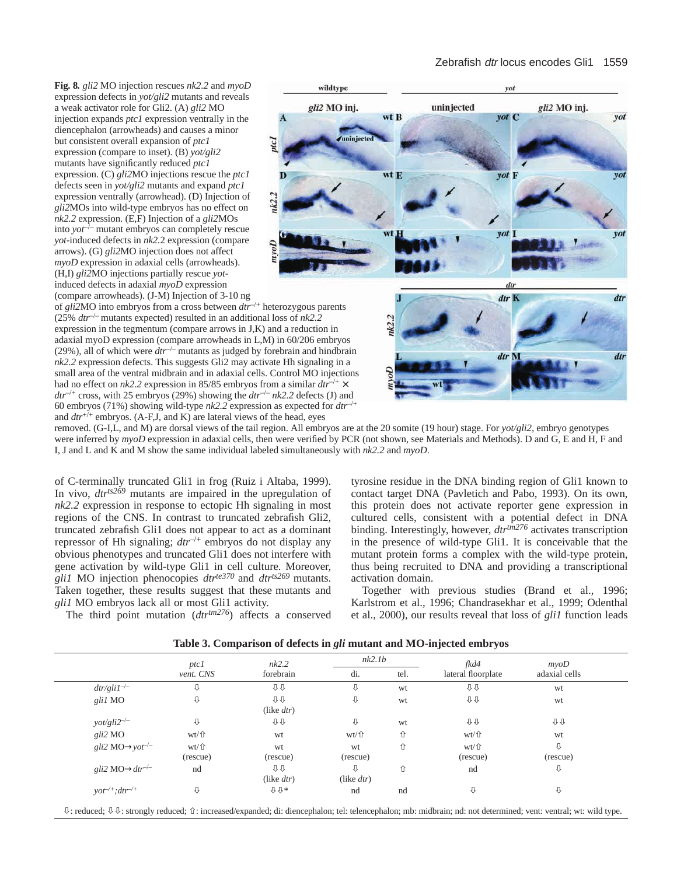**Fig. 8***. gli2* MO injection rescues *nk2.2* and *myoD* expression defects in *yot/gli2* mutants and reveals a weak activator role for Gli2. (A) *gli2* MO injection expands *ptc1* expression ventrally in the diencephalon (arrowheads) and causes a minor but consistent overall expansion of *ptc1* expression (compare to inset). (B) *yot/gli2* mutants have significantly reduced *ptc1* expression. (C) *gli2*MO injections rescue the *ptc1* defects seen in *yot/gli2* mutants and expand *ptc1* expression ventrally (arrowhead). (D) Injection of *gli2*MOs into wild-type embryos has no effect on *nk2.2* expression. (E,F) Injection of a *gli2*MOs into *yot*–/– mutant embryos can completely rescue *yot*-induced defects in *nk2.*2 expression (compare arrows). (G) *gli2*MO injection does not affect *myoD* expression in adaxial cells (arrowheads). (H,I) *gli2*MO injections partially rescue *yot*induced defects in adaxial *myoD* expression (compare arrowheads). (J-M) Injection of 3-10 ng



(25%  $\frac{dtr}{dx}$  mutants expected) resulted in an additional loss of  $nk2.2$ expression in the tegmentum (compare arrows in J,K) and a reduction in adaxial myoD expression (compare arrowheads in L,M) in 60/206 embryos (29%), all of which were *dtr*–/– mutants as judged by forebrain and hindbrain *nk2.2* expression defects. This suggests Gli2 may activate Hh signaling in a small area of the ventral midbrain and in adaxial cells. Control MO injections had no effect on  $nk2.2$  expression in 85/85 embryos from a similar  $dr^{-1} \times$  $drr^{-/+}$  cross, with 25 embryos (29%) showing the  $drr^{-/-}$  *nk2.2* defects (J) and 60 embryos (71%) showing wild-type *nk2.2* expression as expected for *dtr*–/+ and  $dtr^{+/+}$  embryos. (A-F,J, and K) are lateral views of the head, eyes

removed. (G-I,L, and M) are dorsal views of the tail region. All embryos are at the 20 somite (19 hour) stage. For *yot/gli2*, embryo genotypes were inferred by *myoD* expression in adaxial cells, then were verified by PCR (not shown, see Materials and Methods). D and G, E and H, F and I, J and L and K and M show the same individual labeled simultaneously with *nk2.2* and *myoD*.

of C-terminally truncated Gli1 in frog (Ruiz i Altaba, 1999). In vivo,  $dtr^{ts269}$  mutants are impaired in the upregulation of *nk2.2* expression in response to ectopic Hh signaling in most regions of the CNS. In contrast to truncated zebrafish Gli2, truncated zebrafish Gli1 does not appear to act as a dominant repressor of Hh signaling; *dtr*–/+ embryos do not display any obvious phenotypes and truncated Gli1 does not interfere with gene activation by wild-type Gli1 in cell culture. Moreover, *gli1* MO injection phenocopies *dtrte370* and *dtrts269* mutants. Taken together, these results suggest that these mutants and *gli1* MO embryos lack all or most Gli1 activity.

The third point mutation (*dtrtm276*) affects a conserved

tyrosine residue in the DNA binding region of Gli1 known to contact target DNA (Pavletich and Pabo, 1993). On its own, this protein does not activate reporter gene expression in cultured cells, consistent with a potential defect in DNA binding. Interestingly, however,  $drt^{\hat{m}276}$  activates transcription in the presence of wild-type Gli1. It is conceivable that the mutant protein forms a complex with the wild-type protein, thus being recruited to DNA and providing a transcriptional activation domain.

Together with previous studies (Brand et al., 1996; Karlstrom et al., 1996; Chandrasekhar et al., 1999; Odenthal et al., 2000), our results reveal that loss of *gli1* function leads

|                                          | ptc1             | nk2.2<br>forebrain                 | nk2.1b                  |      | fkd4<br>lateral floorplate | $m$ v $oD$<br>adaxial cells |
|------------------------------------------|------------------|------------------------------------|-------------------------|------|----------------------------|-----------------------------|
|                                          | vent. CNS        |                                    | di.                     | tel. |                            |                             |
| $d\mathit{tr}/gli1^{-/-}$                | ⇩                | Û₿                                 | ⇩                       | wt   | <b>↑↑</b>                  | wt                          |
| gli1 MO                                  | ⇩                | ↑↑<br>(like <i>dtr</i> )           | ⇩                       | wt   | <b>↑↑</b>                  | wt                          |
| $yot/gli2^{-/-}$                         | ⇩                | Û₿                                 | ⇩                       | wt   | 0                          | <b>↑↑</b>                   |
| $gli2$ MO                                | wt/f             | wt                                 | wt/f                    | ⇧    | wt/仓                       | wt                          |
| gli2 MO $\rightarrow$ yot <sup>-/-</sup> | wt/f<br>(rescue) | wt<br>(rescue)                     | wt<br>(rescue)          | ⇧    | wt/仓<br>(rescue)           | ⇩<br>(rescue)               |
| gli2 MO $\rightarrow$ dtr <sup>-/-</sup> | nd               | Û₿<br>(like <i>dtr</i> )           | ⇩<br>(like <i>dtr</i> ) | ⇧    | nd                         | ⇩                           |
| $\gamma o t^{-/+}$ ; dtr <sup>-/+</sup>  | ⇩                | $\Uparrow\Uparrow\Uparrow\Uparrow$ | nd                      | nd   | ⇩                          | ⇩                           |

**Table 3. Comparison of defects in** *gli* **mutant and MO-injected embryos**

 $\theta$ : reduced;  $\theta \cdot \theta$ : strongly reduced;  $\hat{\theta}$ : increased/expanded; di: diencephalon; tel: telencephalon; mb: midbrain; nd: not determined; vent: ventral; wt: wild type.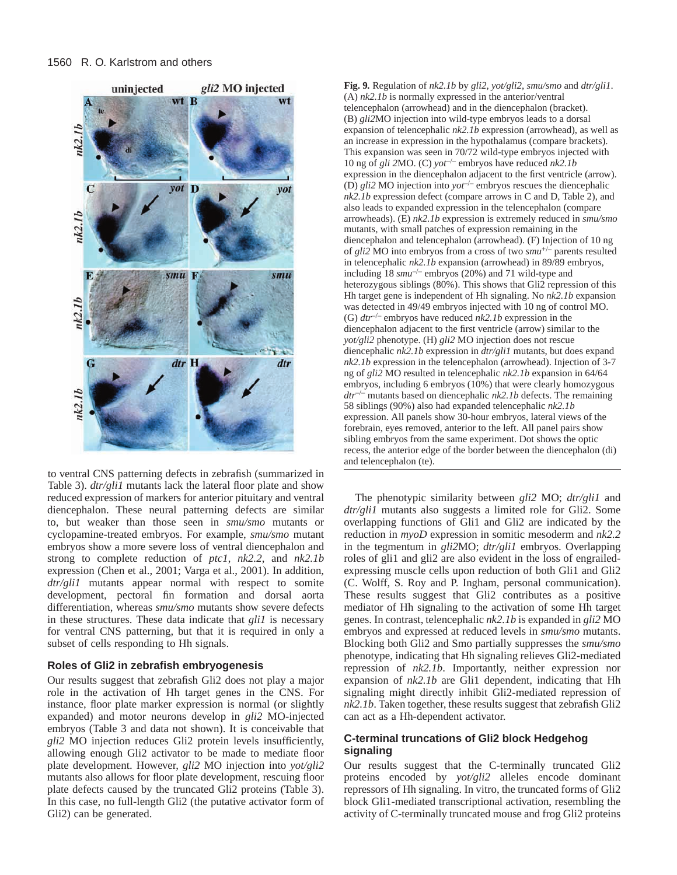

to ventral CNS patterning defects in zebrafish (summarized in Table 3). *dtr/gli1* mutants lack the lateral floor plate and show reduced expression of markers for anterior pituitary and ventral diencephalon. These neural patterning defects are similar to, but weaker than those seen in *smu/smo* mutants or cyclopamine-treated embryos. For example, *smu/smo* mutant embryos show a more severe loss of ventral diencephalon and strong to complete reduction of *ptc1*, *nk2.2*, and *nk2.1b* expression (Chen et al., 2001; Varga et al., 2001). In addition, *dtr/gli1* mutants appear normal with respect to somite development, pectoral fin formation and dorsal aorta differentiation, whereas *smu/smo* mutants show severe defects in these structures. These data indicate that *gli1* is necessary for ventral CNS patterning, but that it is required in only a subset of cells responding to Hh signals.

# **Roles of Gli2 in zebrafish embryogenesis**

Our results suggest that zebrafish Gli2 does not play a major role in the activation of Hh target genes in the CNS. For instance, floor plate marker expression is normal (or slightly expanded) and motor neurons develop in *gli2* MO-injected embryos (Table 3 and data not shown). It is conceivable that *gli2* MO injection reduces Gli2 protein levels insufficiently, allowing enough Gli2 activator to be made to mediate floor plate development. However, *gli2* MO injection into *yot/gli2* mutants also allows for floor plate development, rescuing floor plate defects caused by the truncated Gli2 proteins (Table 3). In this case, no full-length Gli2 (the putative activator form of Gli2) can be generated.

**Fig. 9***.* Regulation of *nk2.1b* by *gli2, yot/gli2*, *smu/smo* and *dtr/gli1*. (A) *nk2.1b* is normally expressed in the anterior/ventral telencephalon (arrowhead) and in the diencephalon (bracket). (B) *gli2*MO injection into wild-type embryos leads to a dorsal expansion of telencephalic *nk2.1b* expression (arrowhead), as well as an increase in expression in the hypothalamus (compare brackets). This expansion was seen in 70/72 wild-type embryos injected with 10 ng of *gli 2*MO. (C) *yot*–/– embryos have reduced *nk2.1b* expression in the diencephalon adjacent to the first ventricle (arrow). (D)  $gli2$  MO injection into *yot<sup>-/–</sup>* embryos rescues the diencephalic *nk2.1b* expression defect (compare arrows in C and D, Table 2), and also leads to expanded expression in the telencephalon (compare arrowheads). (E) *nk2.1b* expression is extremely reduced in *smu/smo* mutants, with small patches of expression remaining in the diencephalon and telencephalon (arrowhead). (F) Injection of 10 ng of *gli2* MO into embryos from a cross of two *smu*+/– parents resulted in telencephalic *nk2.1b* expansion (arrowhead) in 89/89 embryos, including 18 *smu*–/– embryos (20%) and 71 wild-type and heterozygous siblings (80%). This shows that Gli2 repression of this Hh target gene is independent of Hh signaling. No *nk2.1b* expansion was detected in 49/49 embryos injected with 10 ng of control MO. (G) *dtr*–/– embryos have reduced *nk2.1b* expression in the diencephalon adjacent to the first ventricle (arrow) similar to the *yot/gli2* phenotype. (H) *gli2* MO injection does not rescue diencephalic *nk2.1b* expression in *dtr/gli1* mutants, but does expand *nk2.1b* expression in the telencephalon (arrowhead). Injection of 3-7 ng of *gli2* MO resulted in telencephalic *nk2.1b* expansion in 64/64 embryos, including 6 embryos (10%) that were clearly homozygous *dtr*–/– mutants based on diencephalic *nk2.1b* defects. The remaining 58 siblings (90%) also had expanded telencephalic *nk2.1b* expression. All panels show 30-hour embryos, lateral views of the forebrain, eyes removed, anterior to the left. All panel pairs show sibling embryos from the same experiment. Dot shows the optic recess, the anterior edge of the border between the diencephalon (di) and telencephalon (te).

The phenotypic similarity between *gli2* MO; *dtr/gli1* and *dtr/gli1* mutants also suggests a limited role for Gli2. Some overlapping functions of Gli1 and Gli2 are indicated by the reduction in *myoD* expression in somitic mesoderm and *nk2.2* in the tegmentum in *gli2*MO; *dtr/gli1* embryos. Overlapping roles of gli1 and gli2 are also evident in the loss of engrailedexpressing muscle cells upon reduction of both Gli1 and Gli2 (C. Wolff, S. Roy and P. Ingham, personal communication). These results suggest that Gli2 contributes as a positive mediator of Hh signaling to the activation of some Hh target genes. In contrast, telencephalic *nk2.1b* is expanded in *gli2* MO embryos and expressed at reduced levels in *smu/smo* mutants. Blocking both Gli2 and Smo partially suppresses the *smu/smo* phenotype, indicating that Hh signaling relieves Gli2-mediated repression of *nk2.1b*. Importantly, neither expression nor expansion of *nk2.1b* are Gli1 dependent, indicating that Hh signaling might directly inhibit Gli2-mediated repression of *nk2.1b*. Taken together, these results suggest that zebrafish Gli2 can act as a Hh-dependent activator.

# **C-terminal truncations of Gli2 block Hedgehog signaling**

Our results suggest that the C-terminally truncated Gli2 proteins encoded by *yot/gli2* alleles encode dominant repressors of Hh signaling. In vitro, the truncated forms of Gli2 block Gli1-mediated transcriptional activation, resembling the activity of C-terminally truncated mouse and frog Gli2 proteins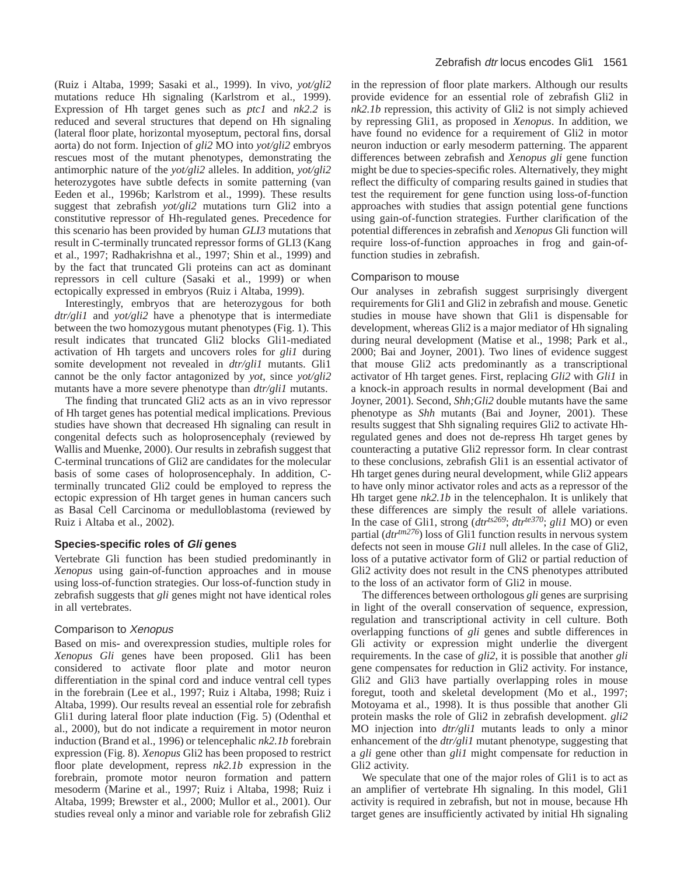(Ruiz i Altaba, 1999; Sasaki et al., 1999). In vivo, *yot/gli2* mutations reduce Hh signaling (Karlstrom et al., 1999). Expression of Hh target genes such as *ptc1* and *nk2.2* is reduced and several structures that depend on Hh signaling (lateral floor plate, horizontal myoseptum, pectoral fins, dorsal aorta) do not form. Injection of *gli2* MO into *yot/gli2* embryos rescues most of the mutant phenotypes, demonstrating the antimorphic nature of the *yot/gli2* alleles. In addition, *yot/gli2* heterozygotes have subtle defects in somite patterning (van Eeden et al., 1996b; Karlstrom et al., 1999). These results suggest that zebrafish *yot/gli2* mutations turn Gli2 into a constitutive repressor of Hh-regulated genes. Precedence for this scenario has been provided by human *GLI3* mutations that result in C-terminally truncated repressor forms of GLI3 (Kang et al., 1997; Radhakrishna et al., 1997; Shin et al., 1999) and by the fact that truncated Gli proteins can act as dominant repressors in cell culture (Sasaki et al., 1999) or when ectopically expressed in embryos (Ruiz i Altaba, 1999).

Interestingly, embryos that are heterozygous for both *dtr/gli1* and *yot/gli2* have a phenotype that is intermediate between the two homozygous mutant phenotypes (Fig. 1). This result indicates that truncated Gli2 blocks Gli1-mediated activation of Hh targets and uncovers roles for *gli1* during somite development not revealed in *dtr/gli1* mutants. Gli1 cannot be the only factor antagonized by *yot*, since *yot/gli2* mutants have a more severe phenotype than *dtr/gli1* mutants.

The finding that truncated Gli2 acts as an in vivo repressor of Hh target genes has potential medical implications*.* Previous studies have shown that decreased Hh signaling can result in congenital defects such as holoprosencephaly (reviewed by Wallis and Muenke, 2000). Our results in zebrafish suggest that C-terminal truncations of Gli2 are candidates for the molecular basis of some cases of holoprosencephaly*.* In addition, Cterminally truncated Gli2 could be employed to repress the ectopic expression of Hh target genes in human cancers such as Basal Cell Carcinoma or medulloblastoma (reviewed by Ruiz i Altaba et al., 2002).

# **Species-specific roles of Gli genes**

Vertebrate Gli function has been studied predominantly in *Xenopus* using gain-of-function approaches and in mouse using loss-of-function strategies. Our loss-of-function study in zebrafish suggests that *gli* genes might not have identical roles in all vertebrates.

# Comparison to Xenopus

Based on mis- and overexpression studies, multiple roles for *Xenopus Gli* genes have been proposed. Gli1 has been considered to activate floor plate and motor neuron differentiation in the spinal cord and induce ventral cell types in the forebrain (Lee et al., 1997; Ruiz i Altaba, 1998; Ruiz i Altaba, 1999). Our results reveal an essential role for zebrafish Gli1 during lateral floor plate induction (Fig. 5) (Odenthal et al., 2000), but do not indicate a requirement in motor neuron induction (Brand et al., 1996) or telencephalic *nk2.1b* forebrain expression (Fig. 8). *Xenopus* Gli2 has been proposed to restrict floor plate development, repress *nk2.1b* expression in the forebrain, promote motor neuron formation and pattern mesoderm (Marine et al., 1997; Ruiz i Altaba, 1998; Ruiz i Altaba, 1999; Brewster et al., 2000; Mullor et al., 2001). Our studies reveal only a minor and variable role for zebrafish Gli2

in the repression of floor plate markers. Although our results provide evidence for an essential role of zebrafish Gli2 in *nk2.1b* repression, this activity of Gli2 is not simply achieved by repressing Gli1, as proposed in *Xenopus*. In addition, we have found no evidence for a requirement of Gli2 in motor neuron induction or early mesoderm patterning. The apparent differences between zebrafish and *Xenopus gli* gene function might be due to species-specific roles. Alternatively, they might reflect the difficulty of comparing results gained in studies that test the requirement for gene function using loss-of-function approaches with studies that assign potential gene functions using gain-of-function strategies. Further clarification of the potential differences in zebrafish and *Xenopus* Gli function will require loss-of-function approaches in frog and gain-offunction studies in zebrafish.

# Comparison to mouse

Our analyses in zebrafish suggest surprisingly divergent requirements for Gli1 and Gli2 in zebrafish and mouse. Genetic studies in mouse have shown that Gli1 is dispensable for development, whereas Gli2 is a major mediator of Hh signaling during neural development (Matise et al., 1998; Park et al., 2000; Bai and Joyner, 2001). Two lines of evidence suggest that mouse Gli2 acts predominantly as a transcriptional activator of Hh target genes. First, replacing *Gli2* with *Gli1* in a knock-in approach results in normal development (Bai and Joyner, 2001). Second, *Shh;Gli2* double mutants have the same phenotype as *Shh* mutants (Bai and Joyner, 2001). These results suggest that Shh signaling requires Gli2 to activate Hhregulated genes and does not de-repress Hh target genes by counteracting a putative Gli2 repressor form*.* In clear contrast to these conclusions, zebrafish Gli1 is an essential activator of Hh target genes during neural development, while Gli2 appears to have only minor activator roles and acts as a repressor of the Hh target gene *nk2.1b* in the telencephalon. It is unlikely that these differences are simply the result of allele variations. In the case of Gli1, strong  $(dr^{ts269}$ ;  $dr^{te370}$ ;  $gli1$  MO) or even partial ( $dtr<sup>tm276</sup>$ ) loss of Gli1 function results in nervous system defects not seen in mouse *Gli1* null alleles. In the case of Gli2, loss of a putative activator form of Gli2 or partial reduction of Gli2 activity does not result in the CNS phenotypes attributed to the loss of an activator form of Gli2 in mouse.

The differences between orthologous *gli* genes are surprising in light of the overall conservation of sequence, expression, regulation and transcriptional activity in cell culture. Both overlapping functions of *gli* genes and subtle differences in Gli activity or expression might underlie the divergent requirements. In the case of *gli2*, it is possible that another *gli* gene compensates for reduction in Gli2 activity. For instance, Gli2 and Gli3 have partially overlapping roles in mouse foregut, tooth and skeletal development (Mo et al., 1997; Motoyama et al., 1998). It is thus possible that another Gli protein masks the role of Gli2 in zebrafish development. *gli2* MO injection into *dtr/gli1* mutants leads to only a minor enhancement of the *dtr/gli1* mutant phenotype, suggesting that a *gli* gene other than *gli1* might compensate for reduction in Gli2 activity.

We speculate that one of the major roles of Gli1 is to act as an amplifier of vertebrate Hh signaling. In this model, Gli1 activity is required in zebrafish, but not in mouse, because Hh target genes are insufficiently activated by initial Hh signaling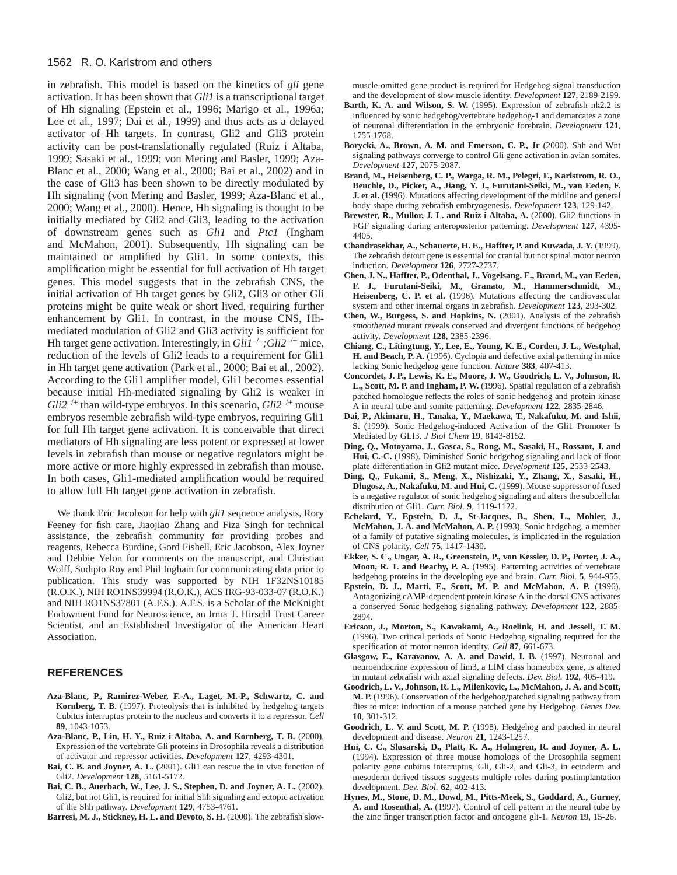in zebrafish. This model is based on the kinetics of *gli* gene activation. It has been shown that *Gli1* is a transcriptional target of Hh signaling (Epstein et al., 1996; Marigo et al., 1996a; Lee et al., 1997; Dai et al., 1999) and thus acts as a delayed activator of Hh targets. In contrast, Gli2 and Gli3 protein activity can be post-translationally regulated (Ruiz i Altaba, 1999; Sasaki et al., 1999; von Mering and Basler, 1999; Aza-Blanc et al., 2000; Wang et al., 2000; Bai et al., 2002) and in the case of Gli3 has been shown to be directly modulated by Hh signaling (von Mering and Basler, 1999; Aza-Blanc et al., 2000; Wang et al., 2000). Hence, Hh signaling is thought to be initially mediated by Gli2 and Gli3, leading to the activation of downstream genes such as *Gli1* and *Ptc1* (Ingham and McMahon, 2001). Subsequently, Hh signaling can be maintained or amplified by Gli1. In some contexts, this amplification might be essential for full activation of Hh target genes. This model suggests that in the zebrafish CNS, the initial activation of Hh target genes by Gli2, Gli3 or other Gli proteins might be quite weak or short lived, requiring further enhancement by Gli1. In contrast, in the mouse CNS, Hhmediated modulation of Gli2 and Gli3 activity is sufficient for Hh target gene activation. Interestingly, in  $Gli1^{-/-}$ ;  $Gli2^{-/+}$  mice, reduction of the levels of Gli2 leads to a requirement for Gli1 in Hh target gene activation (Park et al., 2000; Bai et al., 2002). According to the Gli1 amplifier model, Gli1 becomes essential because initial Hh-mediated signaling by Gli2 is weaker in  $Gli2^{-/+}$  than wild-type embryos. In this scenario,  $Gli2^{-/+}$  mouse embryos resemble zebrafish wild-type embryos, requiring Gli1 for full Hh target gene activation. It is conceivable that direct mediators of Hh signaling are less potent or expressed at lower levels in zebrafish than mouse or negative regulators might be more active or more highly expressed in zebrafish than mouse. In both cases, Gli1-mediated amplification would be required to allow full Hh target gene activation in zebrafish.

We thank Eric Jacobson for help with *gli1* sequence analysis, Rory Feeney for fish care, Jiaojiao Zhang and Fiza Singh for technical assistance, the zebrafish community for providing probes and reagents, Rebecca Burdine, Gord Fishell, Eric Jacobson, Alex Joyner and Debbie Yelon for comments on the manuscript, and Christian Wolff, Sudipto Roy and Phil Ingham for communicating data prior to publication. This study was supported by NIH 1F32NS10185 (R.O.K.), NIH RO1NS39994 (R.O.K.), ACS IRG-93-033-07 (R.O.K.) and NIH RO1NS37801 (A.F.S.). A.F.S. is a Scholar of the McKnight Endowment Fund for Neuroscience, an Irma T. Hirschl Trust Career Scientist, and an Established Investigator of the American Heart Association.

### **REFERENCES**

- **Aza-Blanc, P., Ramirez-Weber, F.-A., Laget, M.-P., Schwartz, C. and Kornberg, T. B.** (1997). Proteolysis that is inhibited by hedgehog targets Cubitus interruptus protein to the nucleus and converts it to a repressor. *Cell* **89**, 1043-1053.
- **Aza-Blanc, P., Lin, H. Y., Ruiz i Altaba, A. and Kornberg, T. B.** (2000). Expression of the vertebrate Gli proteins in Drosophila reveals a distribution of activator and repressor activities. *Development* **127**, 4293-4301.
- **Bai, C. B. and Joyner, A. L.** (2001). Gli1 can rescue the in vivo function of Gli2. *Development* **128**, 5161-5172.
- **Bai, C. B., Auerbach, W., Lee, J. S., Stephen, D. and Joyner, A. L.** (2002). Gli2, but not Gli1, is required for initial Shh signaling and ectopic activation of the Shh pathway. *Development* **129**, 4753-4761.

**Barresi, M. J., Stickney, H. L. and Devoto, S. H.** (2000). The zebrafish slow-

muscle-omitted gene product is required for Hedgehog signal transduction and the development of slow muscle identity. *Development* **127**, 2189-2199.

- **Barth, K. A. and Wilson, S. W.** (1995). Expression of zebrafish nk2.2 is influenced by sonic hedgehog/vertebrate hedgehog-1 and demarcates a zone of neuronal differentiation in the embryonic forebrain. *Development* **121**, 1755-1768.
- **Borycki, A., Brown, A. M. and Emerson, C. P., Jr** (2000). Shh and Wnt signaling pathways converge to control Gli gene activation in avian somites. *Development* **127**, 2075-2087.
- **Brand, M., Heisenberg, C. P., Warga, R. M., Pelegri, F., Karlstrom, R. O., Beuchle, D., Picker, A., Jiang, Y. J., Furutani-Seiki, M., van Eeden, F. J. et al. (**1996). Mutations affecting development of the midline and general body shape during zebrafish embryogenesis. *Development* **123**, 129-142.
- **Brewster, R., Mullor, J. L. and Ruiz i Altaba, A.** (2000). Gli2 functions in FGF signaling during anteroposterior patterning. *Development* **127**, 4395- 4405.
- **Chandrasekhar, A., Schauerte, H. E., Haffter, P. and Kuwada, J. Y.** (1999). The zebrafish detour gene is essential for cranial but not spinal motor neuron induction. *Development* **126**, 2727-2737.
- **Chen, J. N., Haffter, P., Odenthal, J., Vogelsang, E., Brand, M., van Eeden, F. J., Furutani-Seiki, M., Granato, M., Hammerschmidt, M., Heisenberg, C. P. et al. (**1996). Mutations affecting the cardiovascular system and other internal organs in zebrafish. *Development* **123**, 293-302.
- **Chen, W., Burgess, S. and Hopkins, N.** (2001). Analysis of the zebrafish *smoothened* mutant reveals conserved and divergent functions of hedgehog activity. *Development* **128**, 2385-2396.
- **Chiang, C., Litingtung, Y., Lee, E., Young, K. E., Corden, J. L., Westphal, H. and Beach, P. A.** (1996). Cyclopia and defective axial patterning in mice lacking Sonic hedgehog gene function. *Nature* **383**, 407-413.
- **Concordet, J. P., Lewis, K. E., Moore, J. W., Goodrich, L. V., Johnson, R. L., Scott, M. P. and Ingham, P. W.** (1996). Spatial regulation of a zebrafish patched homologue reflects the roles of sonic hedgehog and protein kinase A in neural tube and somite patterning. *Development* **122**, 2835-2846.
- **Dai, P., Akimaru, H., Tanaka, Y., Maekawa, T., Nakafuku, M. and Ishii, S.** (1999). Sonic Hedgehog-induced Activation of the Gli1 Promoter Is Mediated by GLI3. *J Biol Chem* **19**, 8143-8152.
- **Ding, Q., Motoyama, J., Gasca, S., Rong, M., Sasaki, H., Rossant, J. and Hui, C.-C.** (1998). Diminished Sonic hedgehog signaling and lack of floor plate differentiation in Gli2 mutant mice. *Development* **125**, 2533-2543.
- **Ding, Q., Fukami, S., Meng, X., Nishizaki, Y., Zhang, X., Sasaki, H., Dlugosz, A., Nakafuku, M. and Hui, C.** (1999). Mouse suppressor of fused is a negative regulator of sonic hedgehog signaling and alters the subcellular distribution of Gli1. *Curr. Biol.* **9**, 1119-1122.
- **Echelard, Y., Epstein, D. J., St-Jacques, B., Shen, L., Mohler, J., McMahon, J. A. and McMahon, A. P.** (1993). Sonic hedgehog, a member of a family of putative signaling molecules, is implicated in the regulation of CNS polarity. *Cell* **75**, 1417-1430.
- **Ekker, S. C., Ungar, A. R., Greenstein, P., von Kessler, D. P., Porter, J. A., Moon, R. T. and Beachy, P. A.** (1995). Patterning activities of vertebrate hedgehog proteins in the developing eye and brain. *Curr. Biol.* **5**, 944-955.
- **Epstein, D. J., Marti, E., Scott, M. P. and McMahon, A. P.** (1996). Antagonizing cAMP-dependent protein kinase A in the dorsal CNS activates a conserved Sonic hedgehog signaling pathway. *Development* **122**, 2885- 2894.
- **Ericson, J., Morton, S., Kawakami, A., Roelink, H. and Jessell, T. M.** (1996). Two critical periods of Sonic Hedgehog signaling required for the specification of motor neuron identity. *Cell* **87**, 661-673.
- **Glasgow, E., Karavanov, A. A. and Dawid, I. B.** (1997). Neuronal and neuroendocrine expression of lim3, a LIM class homeobox gene, is altered in mutant zebrafish with axial signaling defects. *Dev. Biol.* **192**, 405-419.
- **Goodrich, L. V., Johnson, R. L., Milenkovic, L., McMahon, J. A. and Scott, M. P.** (1996). Conservation of the hedgehog/patched signaling pathway from flies to mice: induction of a mouse patched gene by Hedgehog. *Genes Dev.* **10**, 301-312.
- **Goodrich, L. V. and Scott, M. P.** (1998). Hedgehog and patched in neural development and disease. *Neuron* **21**, 1243-1257.
- **Hui, C. C., Slusarski, D., Platt, K. A., Holmgren, R. and Joyner, A. L.** (1994). Expression of three mouse homologs of the Drosophila segment polarity gene cubitus interruptus, Gli, Gli-2, and Gli-3, in ectoderm and mesoderm-derived tissues suggests multiple roles during postimplantation development. *Dev. Biol.* **62**, 402-413.
- **Hynes, M., Stone, D. M., Dowd, M., Pitts-Meek, S., Goddard, A., Gurney, A. and Rosenthal, A.** (1997). Control of cell pattern in the neural tube by the zinc finger transcription factor and oncogene gli-1. *Neuron* **19**, 15-26.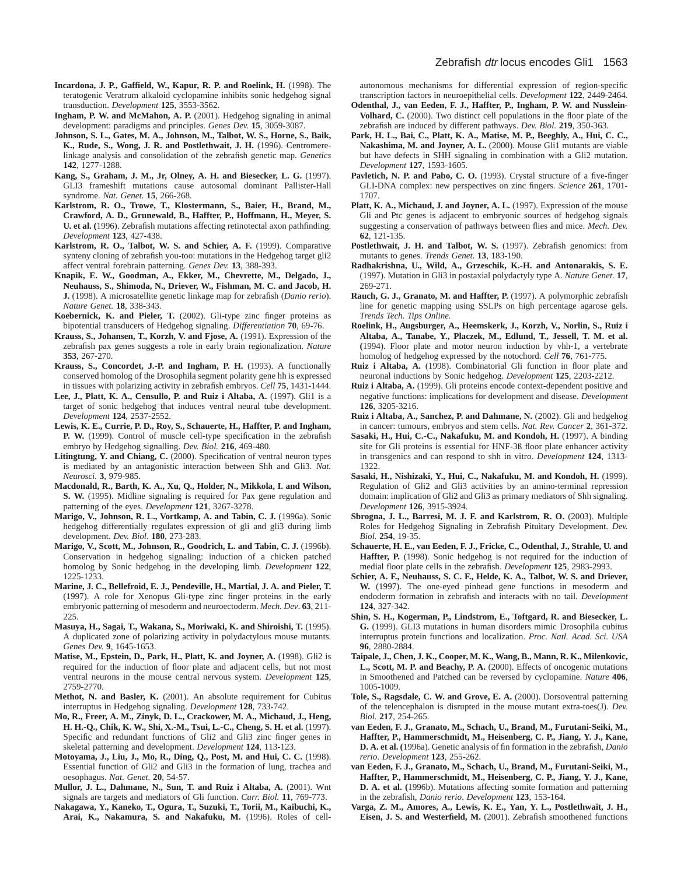- **Incardona, J. P., Gaffield, W., Kapur, R. P. and Roelink, H.** (1998). The teratogenic Veratrum alkaloid cyclopamine inhibits sonic hedgehog signal transduction. *Development* **125**, 3553-3562.
- **Ingham, P. W. and McMahon, A. P.** (2001). Hedgehog signaling in animal development: paradigms and principles. *Genes Dev.* **15**, 3059-3087.
- **Johnson, S. L., Gates, M. A., Johnson, M., Talbot, W. S., Horne, S., Baik, K., Rude, S., Wong, J. R. and Postlethwait, J. H.** (1996). Centromerelinkage analysis and consolidation of the zebrafish genetic map. *Genetics* **142**, 1277-1288.
- **Kang, S., Graham, J. M., Jr, Olney, A. H. and Biesecker, L. G.** (1997). GLI3 frameshift mutations cause autosomal dominant Pallister-Hall syndrome. *Nat. Genet.* **15**, 266-268.
- **Karlstrom, R. O., Trowe, T., Klostermann, S., Baier, H., Brand, M., Crawford, A. D., Grunewald, B., Haffter, P., Hoffmann, H., Meyer, S. U. et al. (**1996). Zebrafish mutations affecting retinotectal axon pathfinding. *Development* **123**, 427-438.
- **Karlstrom, R. O., Talbot, W. S. and Schier, A. F.** (1999). Comparative synteny cloning of zebrafish you-too: mutations in the Hedgehog target gli2 affect ventral forebrain patterning. *Genes Dev.* **13**, 388-393.
- **Knapik, E. W., Goodman, A., Ekker, M., Chevrette, M., Delgado, J., Neuhauss, S., Shimoda, N., Driever, W., Fishman, M. C. and Jacob, H. J.** (1998). A microsatellite genetic linkage map for zebrafish (*Danio rerio*). *Nature Genet.* **18**, 338-343.
- **Koebernick, K. and Pieler, T.** (2002). Gli-type zinc finger proteins as bipotential transducers of Hedgehog signaling. *Differentiation* **70**, 69-76.
- **Krauss, S., Johansen, T., Korzh, V. and Fjose, A.** (1991). Expression of the zebrafish pax genes suggests a role in early brain regionalization. *Nature* **353**, 267-270.
- **Krauss, S., Concordet, J.-P. and Ingham, P. H.** (1993). A functionally conserved homolog of the Drosophila segment polarity gene hh is expressed in tissues with polarizing activity in zebrafish embryos. *Cell* **75**, 1431-1444.
- **Lee, J., Platt, K. A., Censullo, P. and Ruiz i Altaba, A.** (1997). Gli1 is a target of sonic hedgehog that induces ventral neural tube development. *Development* **124**, 2537-2552.
- **Lewis, K. E., Currie, P. D., Roy, S., Schauerte, H., Haffter, P. and Ingham, P. W.** (1999). Control of muscle cell-type specification in the zebrafish embryo by Hedgehog signalling. *Dev. Biol.* **216**, 469-480.
- **Litingtung, Y. and Chiang, C.** (2000). Specification of ventral neuron types is mediated by an antagonistic interaction between Shh and Gli3. *Nat. Neurosci.* **3**, 979-985.
- **Macdonald, R., Barth, K. A., Xu, Q., Holder, N., Mikkola, I. and Wilson, S. W.** (1995). Midline signaling is required for Pax gene regulation and patterning of the eyes. *Development* **121**, 3267-3278.
- **Marigo, V., Johnson, R. L., Vortkamp, A. and Tabin, C. J.** (1996a). Sonic hedgehog differentially regulates expression of gli and gli3 during limb development. *Dev. Biol.* **180**, 273-283.
- **Marigo, V., Scott, M., Johnson, R., Goodrich, L. and Tabin, C. J.** (1996b). Conservation in hedgehog signaling: induction of a chicken patched homolog by Sonic hedgehog in the developing limb. *Development* **122**, 1225-1233.
- **Marine, J. C., Bellefroid, E. J., Pendeville, H., Martial, J. A. and Pieler, T.** (1997). A role for Xenopus Gli-type zinc finger proteins in the early embryonic patterning of mesoderm and neuroectoderm. *Mech. Dev*. **63**, 211- 225.
- **Masuya, H., Sagai, T., Wakana, S., Moriwaki, K. and Shiroishi, T.** (1995). A duplicated zone of polarizing activity in polydactylous mouse mutants. *Genes Dev.* **9**, 1645-1653.
- **Matise, M., Epstein, D., Park, H., Platt, K. and Joyner, A.** (1998). Gli2 is required for the induction of floor plate and adjacent cells, but not most ventral neurons in the mouse central nervous system. *Development* **125**, 2759-2770.
- **Methot, N. and Basler, K.** (2001). An absolute requirement for Cubitus interruptus in Hedgehog signaling. *Development* **128**, 733-742.
- **Mo, R., Freer, A. M., Zinyk, D. L., Crackower, M. A., Michaud, J., Heng, H. H.-Q., Chik, K. W., Shi, X.-M., Tsui, L.-C., Cheng, S. H. et al.** (1997). Specific and redundant functions of Gli2 and Gli3 zinc finger genes in skeletal patterning and development. *Development* **124**, 113-123.
- **Motoyama, J., Liu, J., Mo, R., Ding, Q., Post, M. and Hui, C. C.** (1998). Essential function of Gli2 and Gli3 in the formation of lung, trachea and oesophagus. *Nat. Genet.* **20**, 54-57.
- **Mullor, J. L., Dahmane, N., Sun, T. and Ruiz i Altaba, A.** (2001). Wnt signals are targets and mediators of Gli function. *Curr. Biol.* **11**, 769-773.
- **Nakagawa, Y., Kaneko, T., Ogura, T., Suzuki, T., Torii, M., Kaibuchi, K., Arai, K., Nakamura, S. and Nakafuku, M.** (1996). Roles of cell-

autonomous mechanisms for differential expression of region-specific transcription factors in neuroepithelial cells. *Development* **122**, 2449-2464.

- **Odenthal, J., van Eeden, F. J., Haffter, P., Ingham, P. W. and Nusslein-Volhard, C.** (2000). Two distinct cell populations in the floor plate of the zebrafish are induced by different pathways. *Dev. Biol.* **219**, 350-363.
- **Park, H. L., Bai, C., Platt, K. A., Matise, M. P., Beeghly, A., Hui, C. C., Nakashima, M. and Joyner, A. L.** (2000). Mouse Gli1 mutants are viable but have defects in SHH signaling in combination with a Gli2 mutation. *Development* **127**, 1593-1605.
- Pavletich, N. P. and Pabo, C. O. (1993). Crystal structure of a five-finger GLI-DNA complex: new perspectives on zinc fingers. *Science* **261**, 1701- 1707.
- Platt, K. A., Michaud, J. and Joyner, A. L. (1997). Expression of the mouse Gli and Ptc genes is adjacent to embryonic sources of hedgehog signals suggesting a conservation of pathways between flies and mice. *Mech. Dev.* **62**, 121-135.
- **Postlethwait, J. H. and Talbot, W. S.** (1997). Zebrafish genomics: from mutants to genes. *Trends Genet.* **13**, 183-190.
- **Radhakrishna, U., Wild, A., Grzeschik, K.-H. and Antonarakis, S. E.** (1997). Mutation in Gli3 in postaxial polydactyly type A. *Nature Genet.* **17**, 269-271.
- **Rauch, G. J., Granato, M. and Haffter, P.** (1997). A polymorphic zebrafish line for genetic mapping using SSLPs on high percentage agarose gels. *Trends Tech. Tips Online.*
- **Roelink, H., Augsburger, A., Heemskerk, J., Korzh, V., Norlin, S., Ruiz i Altaba, A., Tanabe, Y., Placzek, M., Edlund, T., Jessell, T. M. et al. (**1994). Floor plate and motor neuron induction by vhh-1, a vertebrate homolog of hedgehog expressed by the notochord. *Cell* **76**, 761-775.
- **Ruiz i Altaba, A.** (1998). Combinatorial Gli function in floor plate and neuronal inductions by Sonic hedgehog. *Development* **125**, 2203-2212.
- **Ruiz i Altaba, A.** (1999). Gli proteins encode context-dependent positive and negative functions: implications for development and disease. *Development* **126**, 3205-3216.
- **Ruiz i Altaba, A., Sanchez, P. and Dahmane, N.** (2002). Gli and hedgehog in cancer: tumours, embryos and stem cells. *Nat. Rev. Cancer* **2**, 361-372.
- **Sasaki, H., Hui, C.-C., Nakafuku, M. and Kondoh, H.** (1997). A binding site for Gli proteins is essential for HNF-3ß floor plate enhancer activity in transgenics and can respond to shh in vitro. *Development* **124**, 1313- 1322.
- **Sasaki, H., Nishizaki, Y., Hui, C., Nakafuku, M. and Kondoh, H.** (1999). Regulation of Gli2 and Gli3 activities by an amino-terminal repression domain: implication of Gli2 and Gli3 as primary mediators of Shh signaling. *Development* **126**, 3915-3924.
- **Sbrogna, J. L., Barresi, M. J. F. and Karlstrom, R. O.** (2003). Multiple Roles for Hedgehog Signaling in Zebrafish Pituitary Development. *Dev. Biol.* **254**, 19-35.
- **Schauerte, H. E., van Eeden, F. J., Fricke, C., Odenthal, J., Strahle, U. and Haffter, P.** (1998). Sonic hedgehog is not required for the induction of medial floor plate cells in the zebrafish. *Development* **125**, 2983-2993.
- **Schier, A. F., Neuhauss, S. C. F., Helde, K. A., Talbot, W. S. and Driever, W.** (1997). The one-eyed pinhead gene functions in mesoderm and endoderm formation in zebrafish and interacts with no tail. *Development* **124**, 327-342.
- **Shin, S. H., Kogerman, P., Lindstrom, E., Toftgard, R. and Biesecker, L. G.** (1999). GLI3 mutations in human disorders mimic Drosophila cubitus interruptus protein functions and localization. *Proc. Natl. Acad. Sci. USA* **96**, 2880-2884.
- **Taipale, J., Chen, J. K., Cooper, M. K., Wang, B., Mann, R. K., Milenkovic, L., Scott, M. P. and Beachy, P. A.** (2000). Effects of oncogenic mutations in Smoothened and Patched can be reversed by cyclopamine. *Nature* **406**, 1005-1009.
- **Tole, S., Ragsdale, C. W. and Grove, E. A.** (2000). Dorsoventral patterning of the telencephalon is disrupted in the mouse mutant extra-toes(J). *Dev. Biol.* **217**, 254-265.
- **van Eeden, F. J., Granato, M., Schach, U., Brand, M., Furutani-Seiki, M., Haffter, P., Hammerschmidt, M., Heisenberg, C. P., Jiang, Y. J., Kane, D. A. et al. (**1996a). Genetic analysis of fin formation in the zebrafish, *Danio rerio*. *Development* **123**, 255-262.
- **van Eeden, F. J., Granato, M., Schach, U., Brand, M., Furutani-Seiki, M., Haffter, P., Hammerschmidt, M., Heisenberg, C. P., Jiang, Y. J., Kane, D. A. et al. (**1996b). Mutations affecting somite formation and patterning in the zebrafish, *Danio rerio*. *Development* **123**, 153-164.
- **Varga, Z. M., Amores, A., Lewis, K. E., Yan, Y. L., Postlethwait, J. H., Eisen, J. S. and Westerfield, M.** (2001). Zebrafish smoothened functions